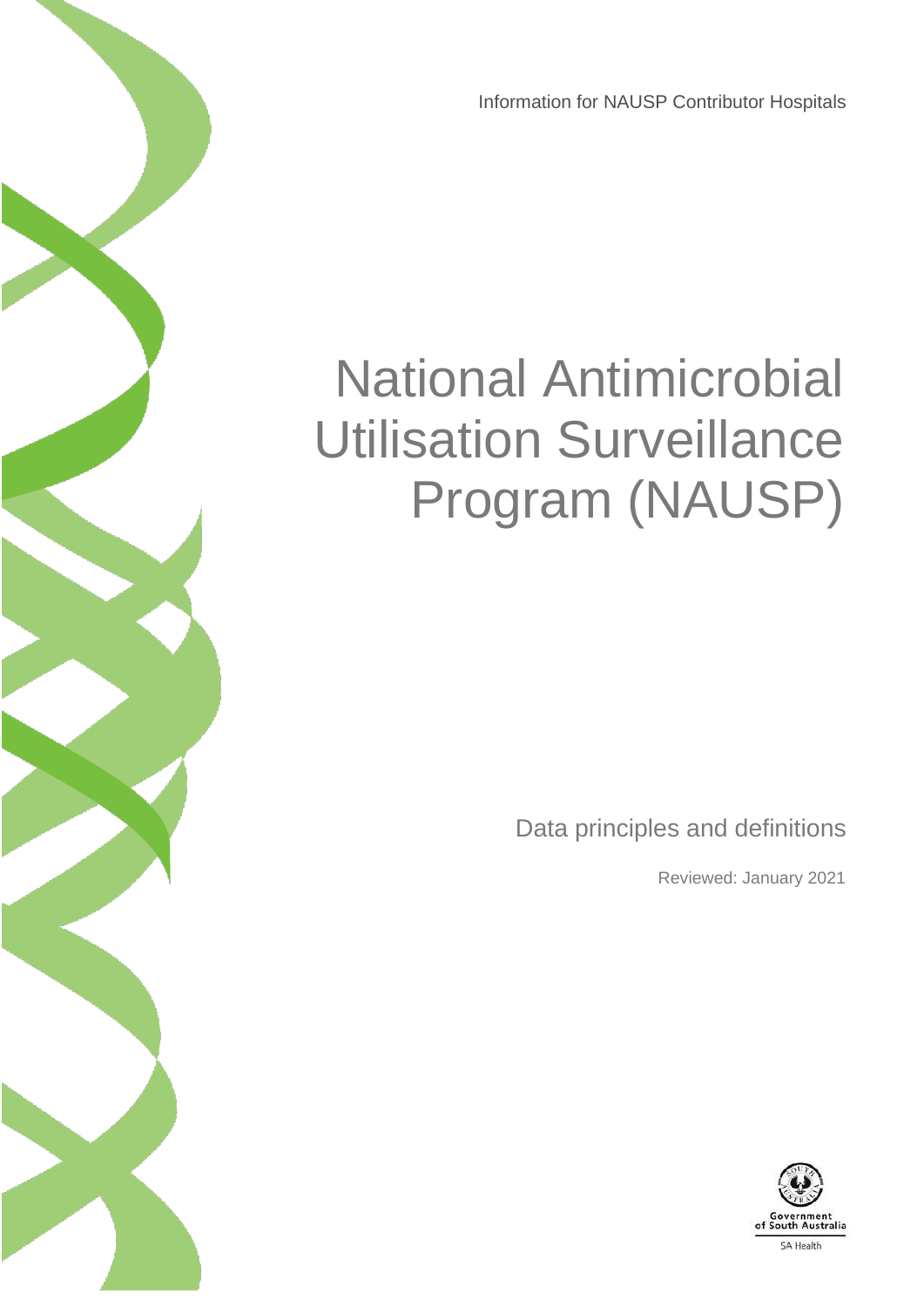Information for NAUSP Contributor Hospitals

# National Antimicrobial Utilisation Surveillance Program (NAUSP)

Data principles and definitions

Reviewed: January 2021

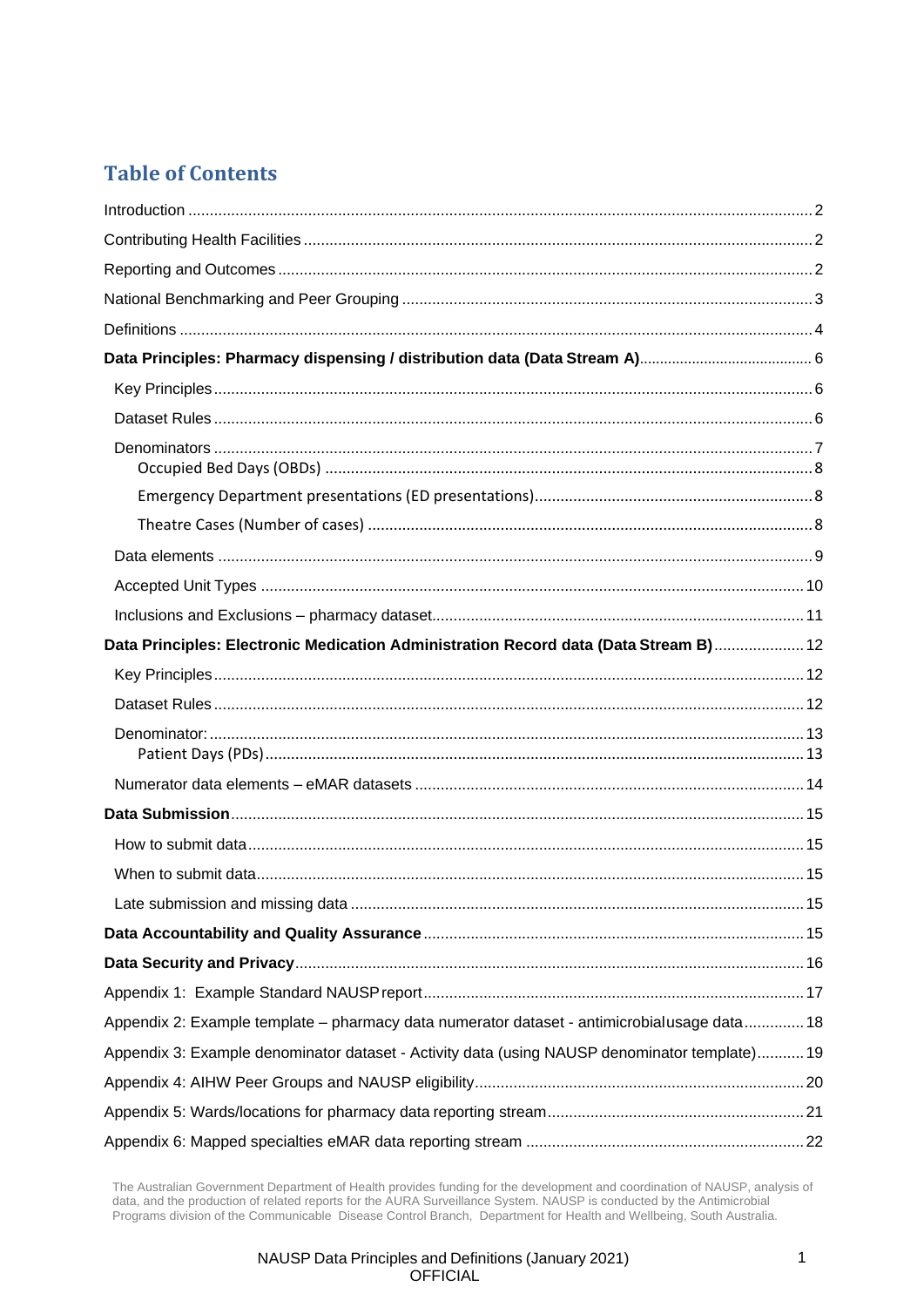### **Table of Contents**

| Data Principles: Electronic Medication Administration Record data (Data Stream B) 12          |  |
|-----------------------------------------------------------------------------------------------|--|
|                                                                                               |  |
|                                                                                               |  |
|                                                                                               |  |
|                                                                                               |  |
|                                                                                               |  |
|                                                                                               |  |
|                                                                                               |  |
|                                                                                               |  |
|                                                                                               |  |
|                                                                                               |  |
|                                                                                               |  |
| Appendix 2: Example template - pharmacy data numerator dataset - antimicrobialusage data 18   |  |
| Appendix 3: Example denominator dataset - Activity data (using NAUSP denominator template) 19 |  |
|                                                                                               |  |
|                                                                                               |  |
|                                                                                               |  |

The Australian Government Department of Health provides funding for the development and coordination of NAUSP, analysis of data, and the production of related reports for the AURA Surveillance System. NAUSP is conducted by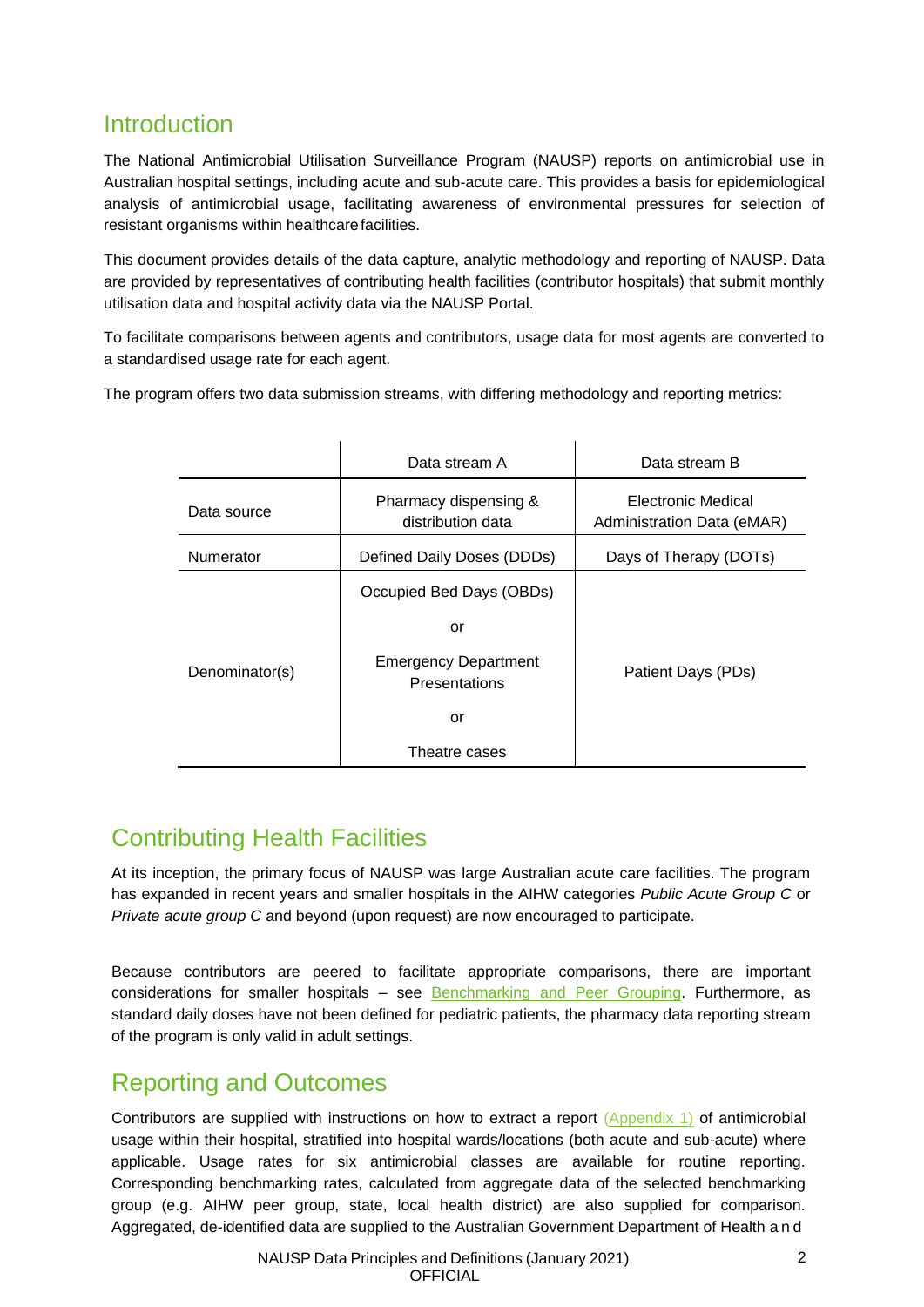### <span id="page-2-0"></span>Introduction

The National Antimicrobial Utilisation Surveillance Program (NAUSP) reports on antimicrobial use in Australian hospital settings, including acute and sub-acute care. This provides a basis for epidemiological analysis of antimicrobial usage, facilitating awareness of environmental pressures for selection of resistant organisms within healthcarefacilities.

This document provides details of the data capture, analytic methodology and reporting of NAUSP. Data are provided by representatives of contributing health facilities (contributor hospitals) that submit monthly utilisation data and hospital activity data via the NAUSP Portal.

To facilitate comparisons between agents and contributors, usage data for most agents are converted to a standardised usage rate for each agent.

The program offers two data submission streams, with differing methodology and reporting metrics:

|                | Data stream A                                | Data stream B                                    |
|----------------|----------------------------------------------|--------------------------------------------------|
| Data source    | Pharmacy dispensing &<br>distribution data   | Electronic Medical<br>Administration Data (eMAR) |
| Numerator      | Defined Daily Doses (DDDs)                   | Days of Therapy (DOTs)                           |
|                | Occupied Bed Days (OBDs)                     |                                                  |
|                | or                                           |                                                  |
| Denominator(s) | <b>Emergency Department</b><br>Presentations | Patient Days (PDs)                               |
|                | or                                           |                                                  |
|                | Theatre cases                                |                                                  |

# <span id="page-2-1"></span>Contributing Health Facilities

At its inception, the primary focus of NAUSP was large Australian acute care facilities. The program has expanded in recent years and smaller hospitals in the AIHW categories *Public Acute Group C* or *Private acute group C* and beyond (upon request) are now encouraged to participate.

Because contributors are peered to facilitate appropriate comparisons, there are important considerations for smaller hospitals – see [Benchmarking and Peer Grouping.](#page-3-0) Furthermore, as standard daily doses have not been defined for pediatric patients, the pharmacy data reporting stream of the program is only valid in adult settings.

### <span id="page-2-2"></span>Reporting and Outcomes

Contributors are supplied with instructions on how to extract a report [\(Appendix 1\)](#page-17-0) of antimicrobial usage within their hospital, stratified into hospital wards/locations (both acute and sub-acute) where applicable. Usage rates for six antimicrobial classes are available for routine reporting. Corresponding benchmarking rates, calculated from aggregate data of the selected benchmarking group (e.g. AIHW peer group, state, local health district) are also supplied for comparison. Aggregated, de-identified data are supplied to the Australian Government Department of Health a n d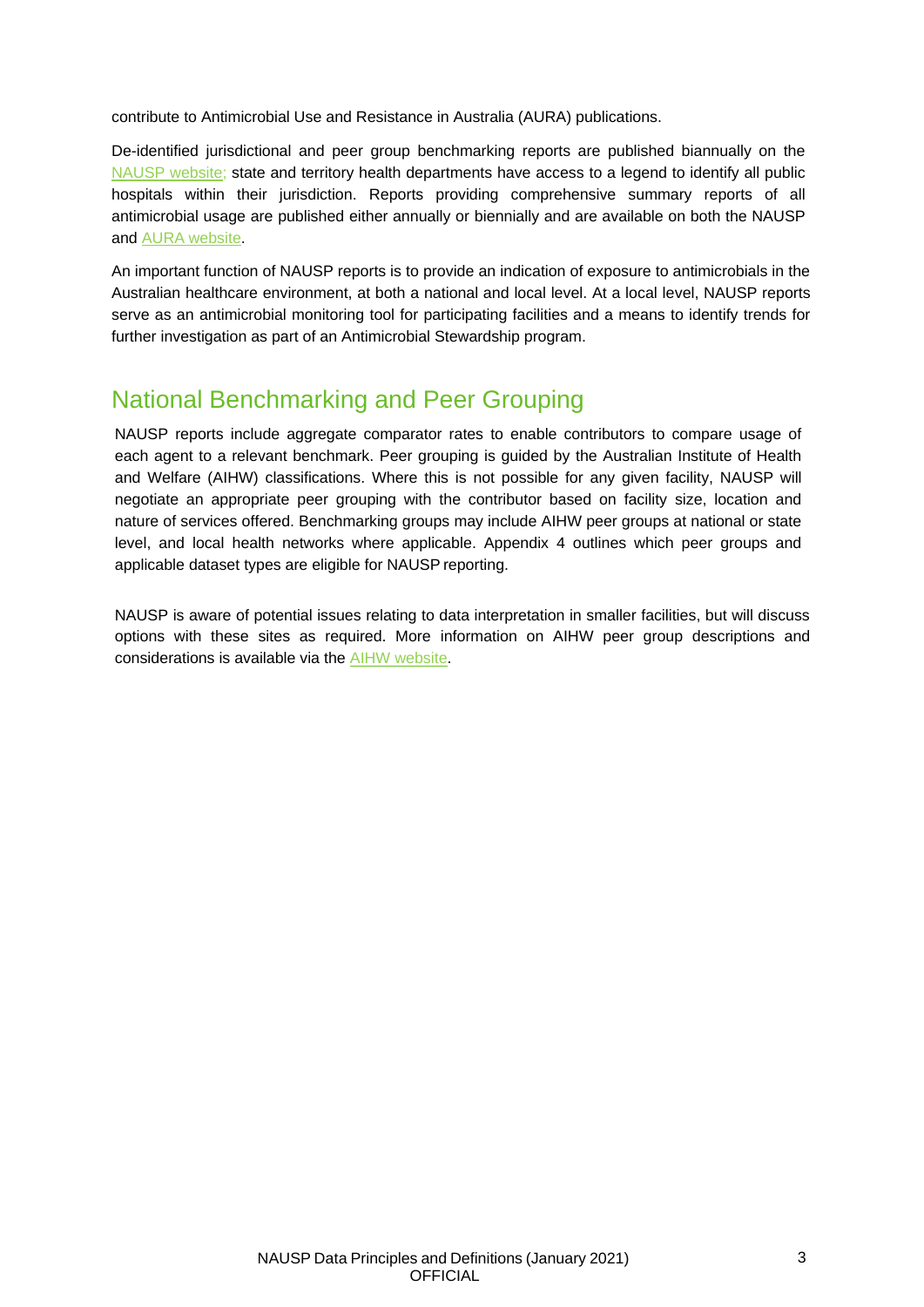contribute to Antimicrobial Use and Resistance in Australia (AURA) publications.

De-identified jurisdictional and peer group benchmarking reports are published biannually on the [NAUSP website;](https://www.sahealth.sa.gov.au/wps/wcm/connect/public%2Bcontent/sa%2Bhealth%2Binternet/clinical%2Bresources/clinical%2Bprograms%2Band%2Bpractice%2Bguidelines/infection%2Band%2Binjury%2Bmanagement/antimicrobial%2Bstewardship/national%2Bantimicrobial%2Butilisation%2Bsurveillance%2Bprogram%2Bnausp/antimicrobial%2Butilisation%2Breports) state and territory health departments have access to a legend to identify all public hospitals within their jurisdiction. Reports providing comprehensive summary reports of all antimicrobial usage are published either annually or biennially and are available on both the NAUSP and AURA [website.](https://www.safetyandquality.gov.au/our-work/antimicrobial-resistance/antimicrobial-use-and-resistance-australia-surveillance-system-aura/hospital-antimicrobial-use/antimicrobial-use-australian-hospitals-nausp)

An important function of NAUSP reports is to provide an indication of exposure to antimicrobials in the Australian healthcare environment, at both a national and local level. At a local level, NAUSP reports serve as an antimicrobial monitoring tool for participating facilities and a means to identify trends for further investigation as part of an Antimicrobial Stewardship program.

### <span id="page-3-0"></span>National Benchmarking and Peer Grouping

NAUSP reports include aggregate comparator rates to enable contributors to compare usage of each agent to a relevant benchmark. Peer grouping is guided by the Australian Institute of Health and Welfare (AIHW) classifications. Where this is not possible for any given facility, NAUSP will negotiate an appropriate peer grouping with the contributor based on facility size, location and nature of services offered. Benchmarking groups may include AIHW peer groups at national or state level, and local health networks where applicable. Appendix 4 outlines which peer groups and applicable dataset types are eligible for NAUSP reporting.

NAUSP is aware of potential issues relating to data interpretation in smaller facilities, but will discuss options with these sites as required. More information on AIHW peer group descriptions and considerations is available via the [AIHW website.](https://www.aihw.gov.au/reports/hospitals/ahs-2016-17-hospital-resources/data)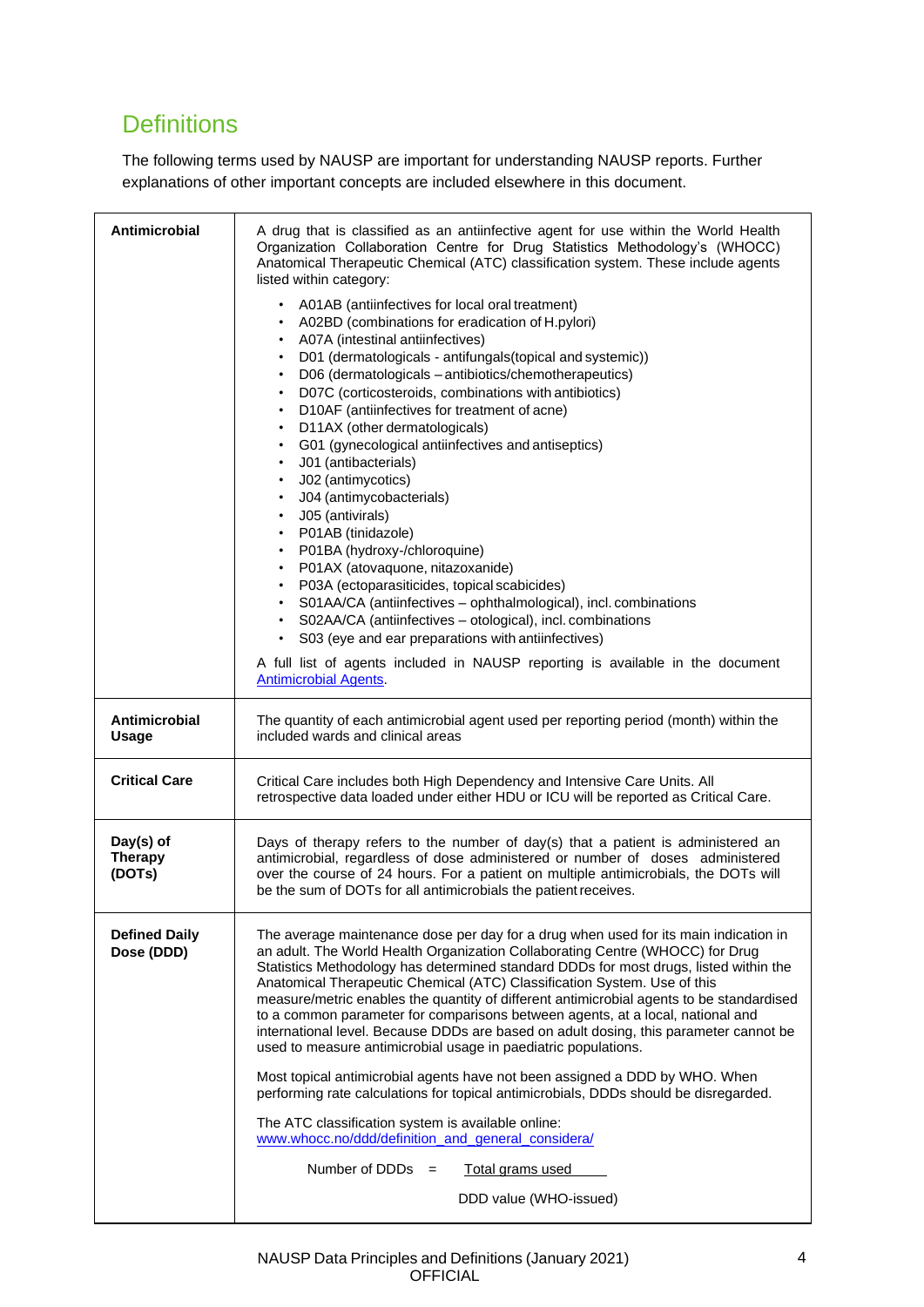# <span id="page-4-0"></span>**Definitions**

The following terms used by NAUSP are important for understanding NAUSP reports. Further explanations of other important concepts are included elsewhere in this document.

<span id="page-4-1"></span>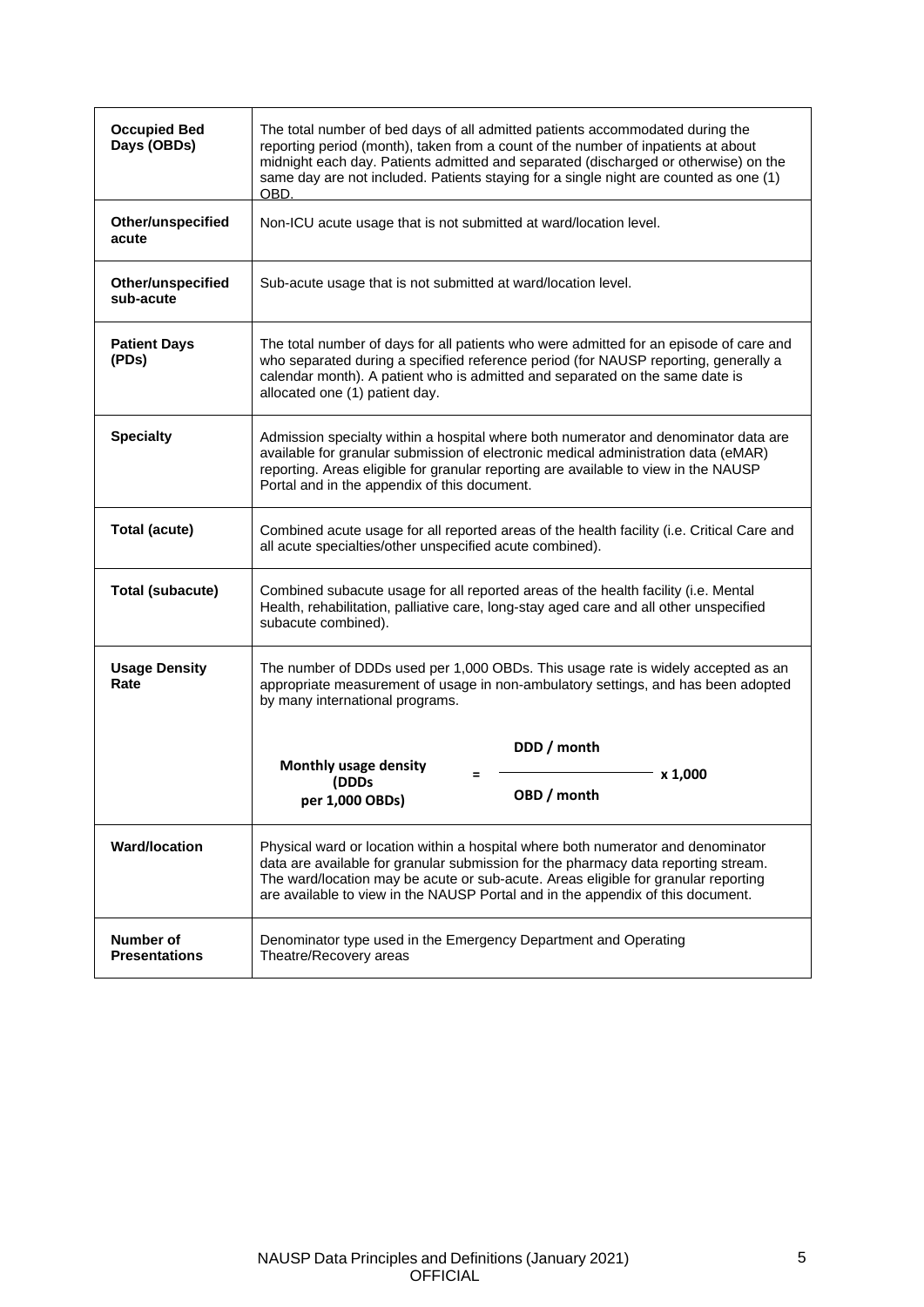| <b>Occupied Bed</b><br>Days (OBDs)       | The total number of bed days of all admitted patients accommodated during the<br>reporting period (month), taken from a count of the number of inpatients at about<br>midnight each day. Patients admitted and separated (discharged or otherwise) on the<br>same day are not included. Patients staying for a single night are counted as one (1)<br>OBD. |
|------------------------------------------|------------------------------------------------------------------------------------------------------------------------------------------------------------------------------------------------------------------------------------------------------------------------------------------------------------------------------------------------------------|
| Other/unspecified<br>acute               | Non-ICU acute usage that is not submitted at ward/location level.                                                                                                                                                                                                                                                                                          |
| Other/unspecified<br>sub-acute           | Sub-acute usage that is not submitted at ward/location level.                                                                                                                                                                                                                                                                                              |
| <b>Patient Days</b><br>(PDs)             | The total number of days for all patients who were admitted for an episode of care and<br>who separated during a specified reference period (for NAUSP reporting, generally a<br>calendar month). A patient who is admitted and separated on the same date is<br>allocated one (1) patient day.                                                            |
| <b>Specialty</b>                         | Admission specialty within a hospital where both numerator and denominator data are<br>available for granular submission of electronic medical administration data (eMAR)<br>reporting. Areas eligible for granular reporting are available to view in the NAUSP<br>Portal and in the appendix of this document.                                           |
| <b>Total (acute)</b>                     | Combined acute usage for all reported areas of the health facility (i.e. Critical Care and<br>all acute specialties/other unspecified acute combined).                                                                                                                                                                                                     |
| <b>Total (subacute)</b>                  | Combined subacute usage for all reported areas of the health facility (i.e. Mental<br>Health, rehabilitation, palliative care, long-stay aged care and all other unspecified<br>subacute combined).                                                                                                                                                        |
| <b>Usage Density</b><br>Rate             | The number of DDDs used per 1,000 OBDs. This usage rate is widely accepted as an<br>appropriate measurement of usage in non-ambulatory settings, and has been adopted<br>by many international programs.                                                                                                                                                   |
|                                          | DDD / month<br>Monthly usage density<br>x 1,000<br>(DDDs<br>OBD / month<br>per 1,000 OBDs)                                                                                                                                                                                                                                                                 |
| <b>Ward/location</b>                     | Physical ward or location within a hospital where both numerator and denominator<br>data are available for granular submission for the pharmacy data reporting stream.<br>The ward/location may be acute or sub-acute. Areas eligible for granular reporting<br>are available to view in the NAUSP Portal and in the appendix of this document.            |
| <b>Number of</b><br><b>Presentations</b> | Denominator type used in the Emergency Department and Operating<br>Theatre/Recovery areas                                                                                                                                                                                                                                                                  |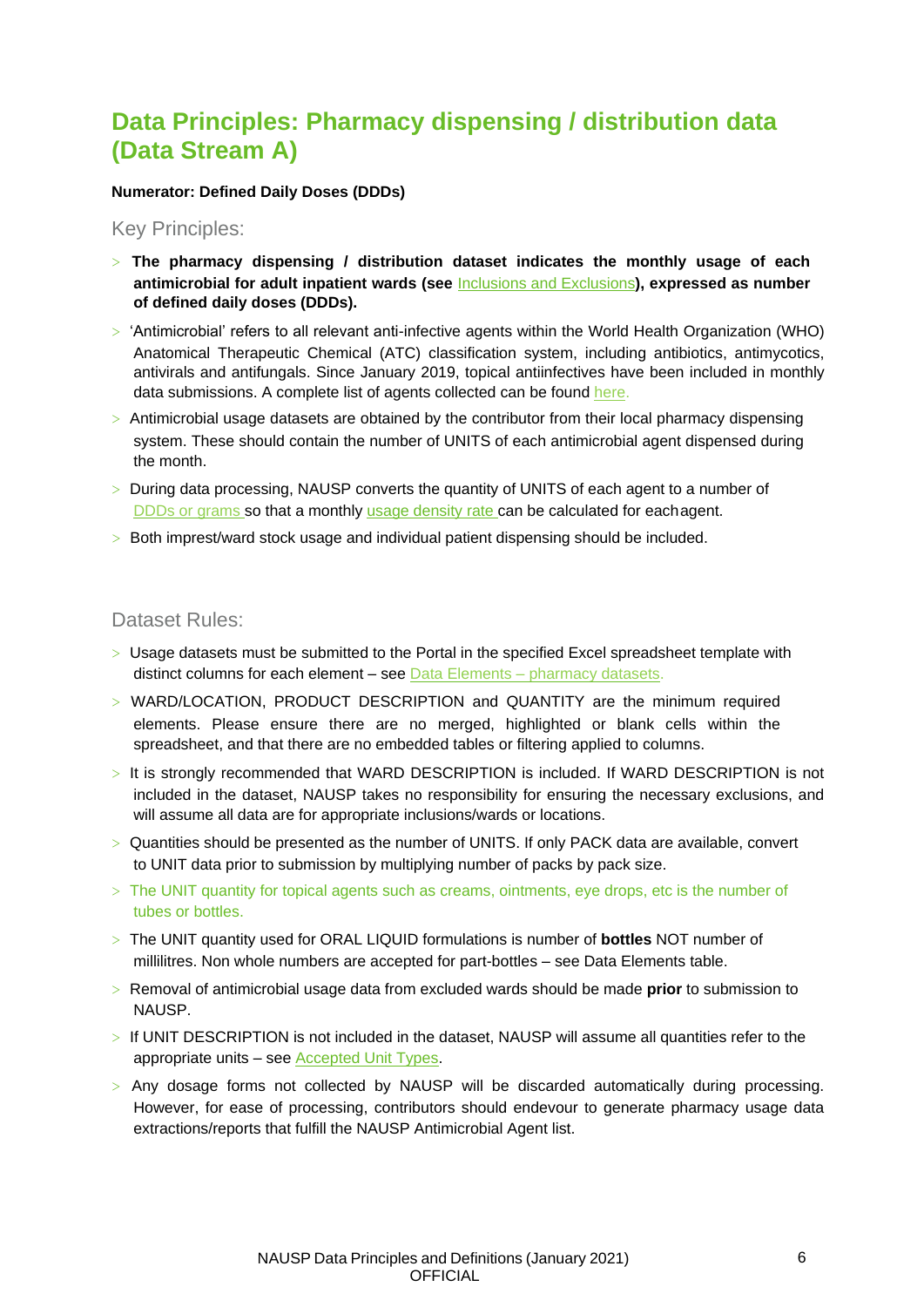### <span id="page-6-0"></span>**Data Principles: Pharmacy dispensing / distribution data (Data Stream A)**

#### **Numerator: Defined Daily Doses (DDDs)**

<span id="page-6-1"></span>Key Principles:

- > **The pharmacy dispensing / distribution dataset indicates the monthly usage of each antimicrobial for adult inpatient wards (see** [Inclusions and Exclusions](#page-11-0)**), expressed as number of defined daily doses (DDDs).**
- > 'Antimicrobial' refers to all relevant anti-infective agents within the World Health Organization (WHO) Anatomical Therapeutic Chemical (ATC) classification system, including antibiotics, antimycotics, antivirals and antifungals. Since January 2019, topical antiinfectives have been included in monthly data submissions. A complete list of agents collected can be found [here.](https://www.sahealth.sa.gov.au/wps/wcm/connect/e88ecf80400569ff9395bb4826472d56/NAUSP%2BInfo_Antimicrobial%2BAgents_2021_v8.0.pdf?MOD=AJPERES&amp%3BCACHEID=ROOTWORKSPACE-e88ecf80400569ff9395bb4826472d56-ntB1lNU)
- $>$  Antimicrobial usage datasets are obtained by the contributor from their local pharmacy dispensing system. These should contain the number of UNITS of each antimicrobial agent dispensed during the month.
- > During data processing, NAUSP converts the quantity of UNITS of each agent to a number of [DDDs or grams](#page-4-1) so that a monthly usage density rate can be calculated for eachagent.
- > Both imprest/ward stock usage and individual patient dispensing should be included.

#### <span id="page-6-2"></span>Dataset Rules:

- > Usage datasets must be submitted to the Portal in the specified Excel spreadsheet template with distinct columns for each element – see Data Elements – [pharmacy datasets.](#page-9-0)
- > WARD/LOCATION, PRODUCT DESCRIPTION and QUANTITY are the minimum required elements. Please ensure there are no merged, highlighted or blank cells within the spreadsheet, and that there are no embedded tables or filtering applied to columns.
- > It is strongly recommended that WARD DESCRIPTION is included. If WARD DESCRIPTION is not included in the dataset, NAUSP takes no responsibility for ensuring the necessary exclusions, and will assume all data are for appropriate inclusions/wards or locations.
- > Quantities should be presented as the number of UNITS. If only PACK data are available, convert to UNIT data prior to submission by multiplying number of packs by pack size.
- > The UNIT quantity for topical agents such as creams, ointments, eye drops, etc is the number of tubes or bottles.
- > The UNIT quantity used for ORAL LIQUID formulations is number of **bottles** NOT number of millilitres. Non whole numbers are accepted for part-bottles – see Data Elements table.
- > Removal of antimicrobial usage data from excluded wards should be made **prior** to submission to NAUSP.
- > If UNIT DESCRIPTION is not included in the dataset, NAUSP will assume all quantities refer to the appropriate units – see [Accepted Unit Types.](#page-10-0)
- > Any dosage forms not collected by NAUSP will be discarded automatically during processing. However, for ease of processing, contributors should endevour to generate pharmacy usage data extractions/reports that fulfill the NAUSP Antimicrobial Agent list.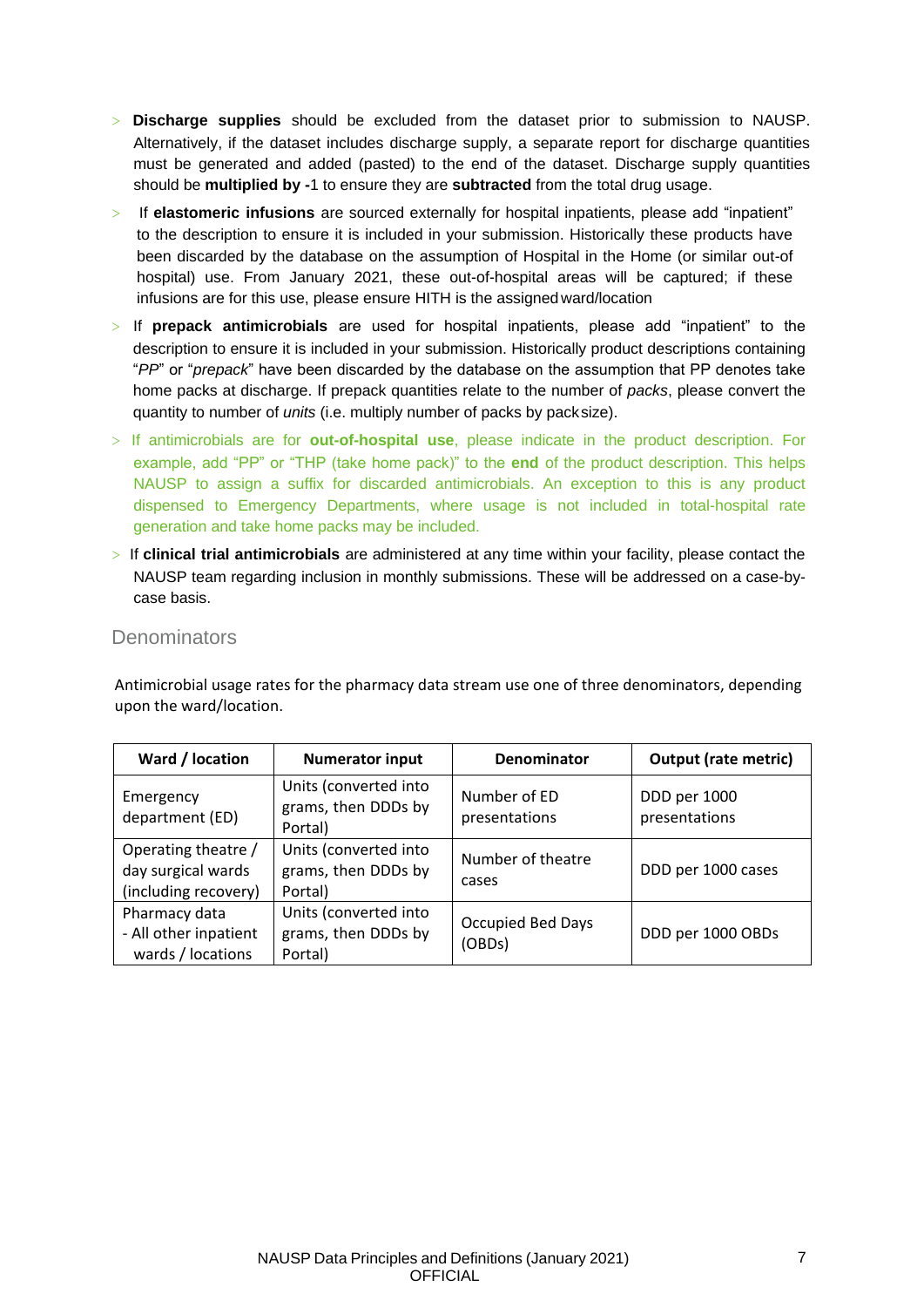- > **Discharge supplies** should be excluded from the dataset prior to submission to NAUSP. Alternatively, if the dataset includes discharge supply, a separate report for discharge quantities must be generated and added (pasted) to the end of the dataset. Discharge supply quantities should be **multiplied by -**1 to ensure they are **subtracted** from the total drug usage.
- > If **elastomeric infusions** are sourced externally for hospital inpatients, please add "inpatient" to the description to ensure it is included in your submission. Historically these products have been discarded by the database on the assumption of Hospital in the Home (or similar out-of hospital) use. From January 2021, these out-of-hospital areas will be captured; if these infusions are for this use, please ensure HITH is the assignedward/location
- > If **prepack antimicrobials** are used for hospital inpatients, please add "inpatient" to the description to ensure it is included in your submission. Historically product descriptions containing "*PP*" or "*prepack*" have been discarded by the database on the assumption that PP denotes take home packs at discharge. If prepack quantities relate to the number of *packs*, please convert the quantity to number of *units* (i.e. multiply number of packs by packsize).
- > If antimicrobials are for **out-of-hospital use**, please indicate in the product description. For example, add "PP" or "THP (take home pack)" to the **end** of the product description. This helps NAUSP to assign a suffix for discarded antimicrobials. An exception to this is any product dispensed to Emergency Departments, where usage is not included in total-hospital rate generation and take home packs may be included.
- > If **clinical trial antimicrobials** are administered at any time within your facility, please contact the NAUSP team regarding inclusion in monthly submissions. These will be addressed on a case-bycase basis.

#### <span id="page-7-0"></span>**Denominators**

Antimicrobial usage rates for the pharmacy data stream use one of three denominators, depending upon the ward/location.

| Ward / location                                                   | <b>Numerator input</b>                                  | <b>Denominator</b>            | <b>Output (rate metric)</b>   |
|-------------------------------------------------------------------|---------------------------------------------------------|-------------------------------|-------------------------------|
| Emergency<br>department (ED)                                      | Units (converted into<br>grams, then DDDs by<br>Portal) | Number of ED<br>presentations | DDD per 1000<br>presentations |
| Operating theatre /<br>day surgical wards<br>(including recovery) | Units (converted into<br>grams, then DDDs by<br>Portal) | Number of theatre<br>cases    | DDD per 1000 cases            |
| Pharmacy data<br>- All other inpatient<br>wards / locations       | Units (converted into<br>grams, then DDDs by<br>Portal) | Occupied Bed Days<br>(OBDs)   | DDD per 1000 OBDs             |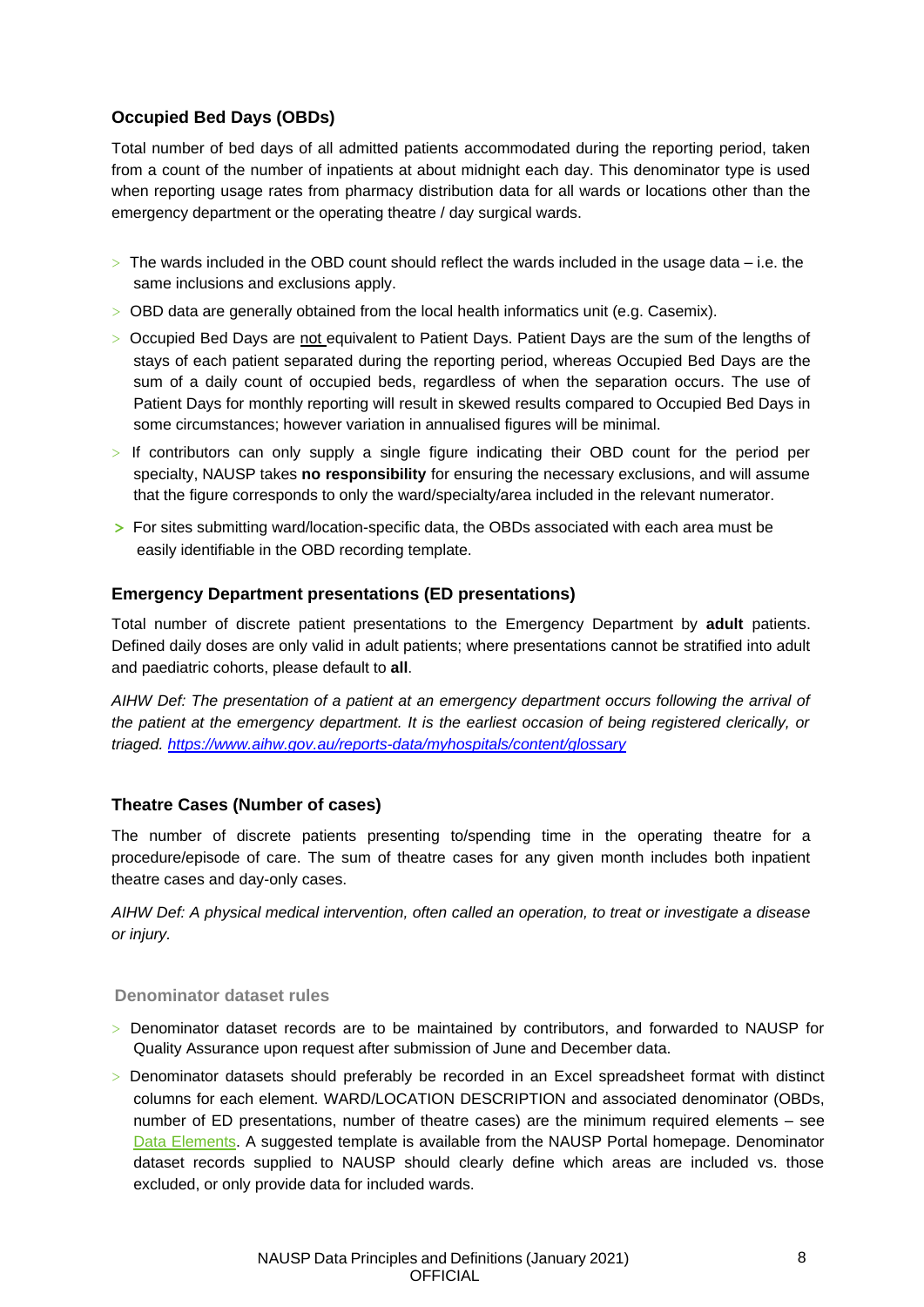#### <span id="page-8-0"></span>**Occupied Bed Days (OBDs)**

Total number of bed days of all admitted patients accommodated during the reporting period, taken from a count of the number of inpatients at about midnight each day. This denominator type is used when reporting usage rates from pharmacy distribution data for all wards or locations other than the emergency department or the operating theatre / day surgical wards.

- $>$  The wards included in the OBD count should reflect the wards included in the usage data  $-$  i.e. the same inclusions and exclusions apply.
- > OBD data are generally obtained from the local health informatics unit (e.g. Casemix).
- > Occupied Bed Days are not equivalent to Patient Days. Patient Days are the sum of the lengths of stays of each patient separated during the reporting period, whereas Occupied Bed Days are the sum of a daily count of occupied beds, regardless of when the separation occurs. The use of Patient Days for monthly reporting will result in skewed results compared to Occupied Bed Days in some circumstances; however variation in annualised figures will be minimal.
- > If contributors can only supply a single figure indicating their OBD count for the period per specialty, NAUSP takes **no responsibility** for ensuring the necessary exclusions, and will assume that the figure corresponds to only the ward/specialty/area included in the relevant numerator.
- **>** For sites submitting ward/location-specific data, the OBDs associated with each area must be easily identifiable in the OBD recording template.

#### <span id="page-8-1"></span>**Emergency Department presentations (ED presentations)**

Total number of discrete patient presentations to the Emergency Department by **adult** patients. Defined daily doses are only valid in adult patients; where presentations cannot be stratified into adult and paediatric cohorts, please default to **all**.

*AIHW Def: The presentation of a patient at an emergency department occurs following the arrival of the patient at the emergency department. It is the earliest occasion of being registered clerically, or triaged.<https://www.aihw.gov.au/reports-data/myhospitals/content/glossary>*

#### <span id="page-8-2"></span>**Theatre Cases (Number of cases)**

The number of discrete patients presenting to/spending time in the operating theatre for a procedure/episode of care. The sum of theatre cases for any given month includes both inpatient theatre cases and day-only cases.

*AIHW Def: A physical medical intervention, often called an operation, to treat or investigate a disease or injury.*

#### **Denominator dataset rules**

- > Denominator dataset records are to be maintained by contributors, and forwarded to NAUSP for Quality Assurance upon request after submission of June and December data.
- > Denominator datasets should preferably be recorded in an Excel spreadsheet format with distinct columns for each element. WARD/LOCATION DESCRIPTION and associated denominator (OBDs, number of ED presentations, number of theatre cases) are the minimum required elements – see [Data Elements.](#page-9-0) A suggested template is available from the NAUSP Portal homepage. Denominator dataset records supplied to NAUSP should clearly define which areas are included vs. those excluded, or only provide data for included wards.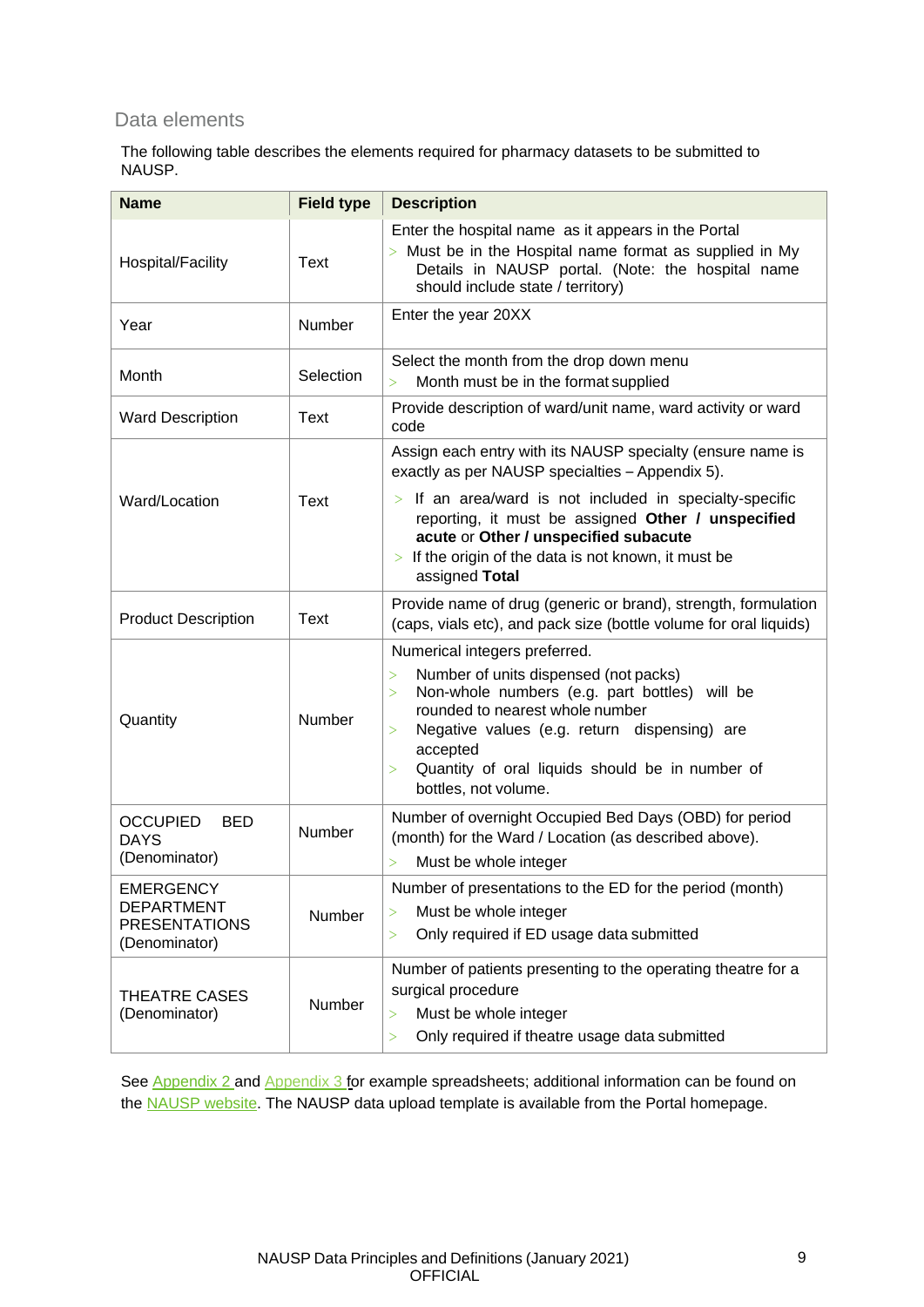#### <span id="page-9-0"></span>Data elements

The following table describes the elements required for pharmacy datasets to be submitted to NAUSP.

| <b>Name</b>                                                                    | <b>Field type</b> | <b>Description</b>                                                                                                                                                                                                                                                                                                                         |
|--------------------------------------------------------------------------------|-------------------|--------------------------------------------------------------------------------------------------------------------------------------------------------------------------------------------------------------------------------------------------------------------------------------------------------------------------------------------|
| Hospital/Facility                                                              | Text              | Enter the hospital name as it appears in the Portal<br>$>$ Must be in the Hospital name format as supplied in My<br>Details in NAUSP portal. (Note: the hospital name<br>should include state / territory)                                                                                                                                 |
| Year                                                                           | Number            | Enter the year 20XX                                                                                                                                                                                                                                                                                                                        |
| Month                                                                          | Selection         | Select the month from the drop down menu<br>Month must be in the format supplied<br>$\geq$                                                                                                                                                                                                                                                 |
| <b>Ward Description</b>                                                        | Text              | Provide description of ward/unit name, ward activity or ward<br>code                                                                                                                                                                                                                                                                       |
|                                                                                |                   | Assign each entry with its NAUSP specialty (ensure name is<br>exactly as per NAUSP specialties - Appendix 5).                                                                                                                                                                                                                              |
| Ward/Location                                                                  | Text              | $>$ If an area/ward is not included in specialty-specific<br>reporting, it must be assigned Other / unspecified<br>acute or Other / unspecified subacute<br>$>$ If the origin of the data is not known, it must be<br>assigned Total                                                                                                       |
| <b>Product Description</b>                                                     | Text              | Provide name of drug (generic or brand), strength, formulation<br>(caps, vials etc), and pack size (bottle volume for oral liquids)                                                                                                                                                                                                        |
| Quantity                                                                       | Number            | Numerical integers preferred.<br>Number of units dispensed (not packs)<br>$\geq$<br>Non-whole numbers (e.g. part bottles) will be<br>$\geq$<br>rounded to nearest whole number<br>Negative values (e.g. return dispensing) are<br>$\geq$<br>accepted<br>Quantity of oral liquids should be in number of<br>$\,>\,$<br>bottles, not volume. |
| <b>OCCUPIED</b><br>BED<br><b>DAYS</b><br>(Denominator)                         | Number            | Number of overnight Occupied Bed Days (OBD) for period<br>(month) for the Ward / Location (as described above).<br>Must be whole integer<br>$\rm{>}$                                                                                                                                                                                       |
| <b>EMERGENCY</b><br><b>DEPARTMENT</b><br><b>PRESENTATIONS</b><br>(Denominator) | Number            | Number of presentations to the ED for the period (month)<br>Must be whole integer<br>$\,>$<br>Only required if ED usage data submitted<br>$\geq$                                                                                                                                                                                           |
| <b>THEATRE CASES</b><br>(Denominator)                                          | Number            | Number of patients presenting to the operating theatre for a<br>surgical procedure<br>Must be whole integer<br>$\, > \,$<br>Only required if theatre usage data submitted<br>>                                                                                                                                                             |

See [Appendix 2](#page-18-0) and [Appendix 3 fo](#page-19-0)r example spreadsheets; additional information can be found on the **NAUSP** website</u>. The [NAUSP](http://www.sahealth.sa.gov.au/nausp) data upload template is available from the Portal homepage.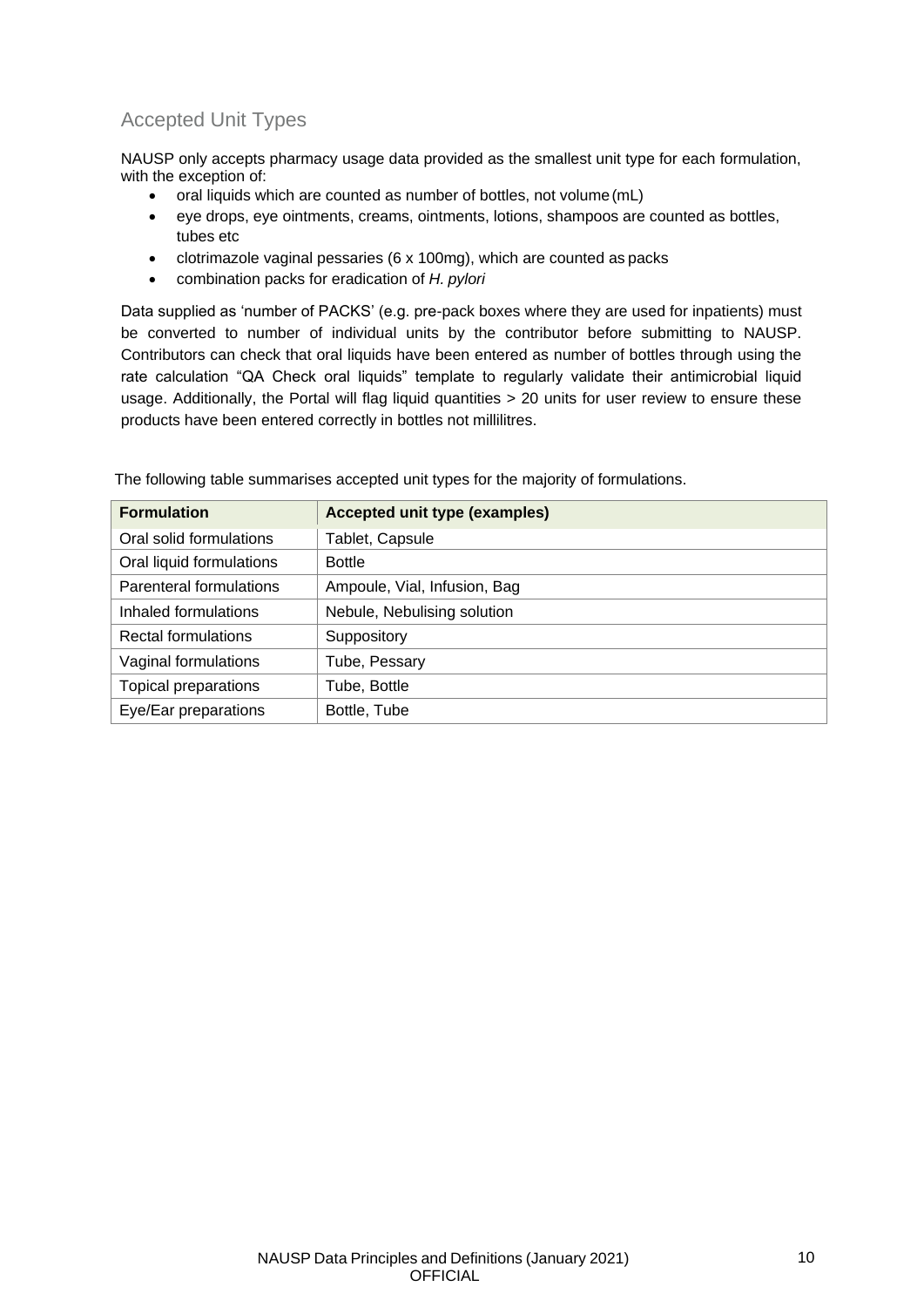### <span id="page-10-0"></span>Accepted Unit Types

NAUSP only accepts pharmacy usage data provided as the smallest unit type for each formulation, with the exception of:

- oral liquids which are counted as number of bottles, not volume (mL)
- eye drops, eye ointments, creams, ointments, lotions, shampoos are counted as bottles, tubes etc
- clotrimazole vaginal pessaries (6 x 100mg), which are counted as packs
- combination packs for eradication of *H. pylori*

Data supplied as 'number of PACKS' (e.g. pre-pack boxes where they are used for inpatients) must be converted to number of individual units by the contributor before submitting to NAUSP. Contributors can check that oral liquids have been entered as number of bottles through using the rate calculation "QA Check oral liquids" template to regularly validate their antimicrobial liquid usage. Additionally, the Portal will flag liquid quantities > 20 units for user review to ensure these products have been entered correctly in bottles not millilitres.

| <b>Formulation</b>         | Accepted unit type (examples) |
|----------------------------|-------------------------------|
| Oral solid formulations    | Tablet, Capsule               |
| Oral liquid formulations   | <b>Bottle</b>                 |
| Parenteral formulations    | Ampoule, Vial, Infusion, Bag  |
| Inhaled formulations       | Nebule, Nebulising solution   |
| <b>Rectal formulations</b> | Suppository                   |
| Vaginal formulations       | Tube, Pessary                 |
| Topical preparations       | Tube, Bottle                  |
| Eye/Ear preparations       | Bottle, Tube                  |

The following table summarises accepted unit types for the majority of formulations.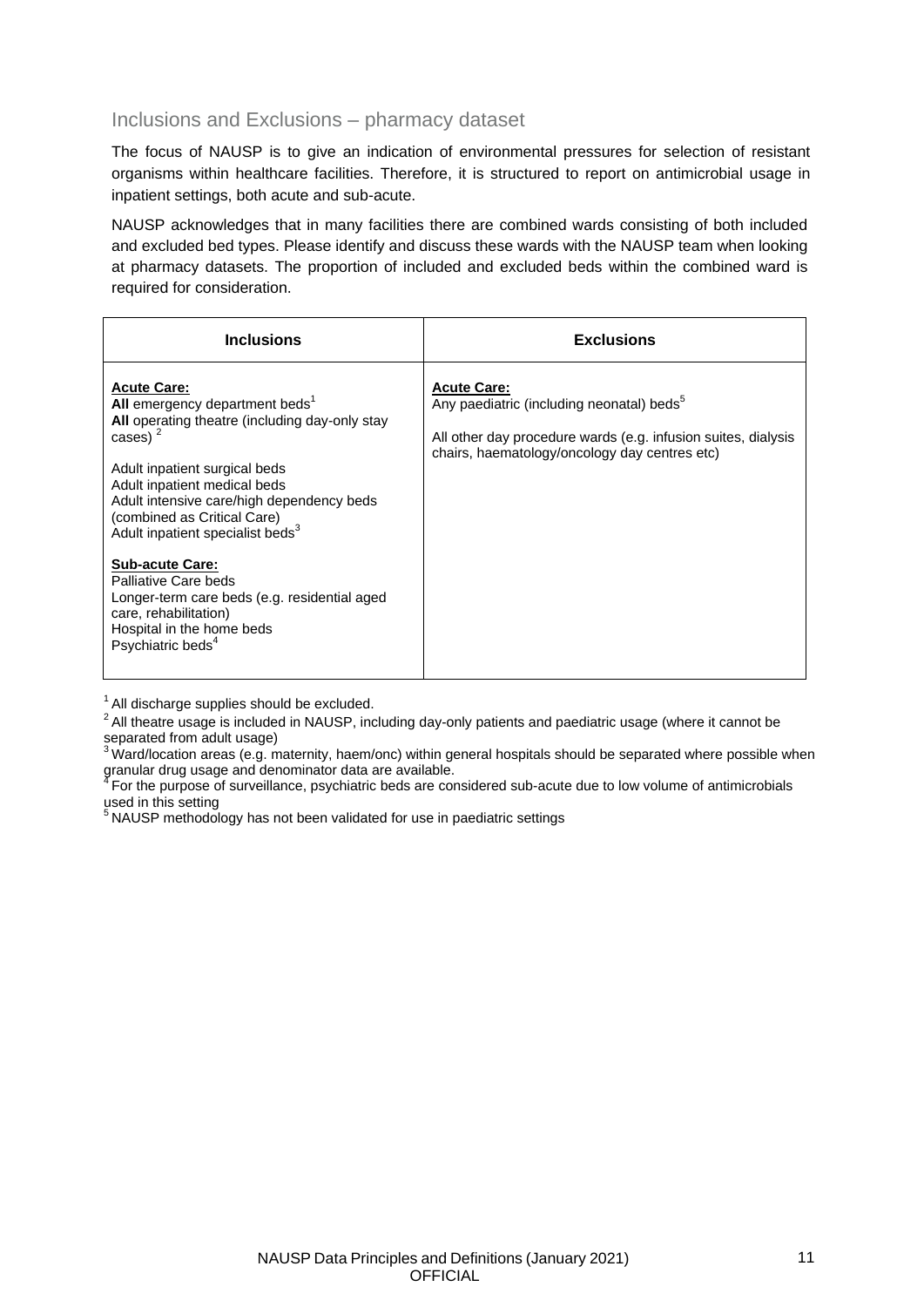#### <span id="page-11-0"></span>Inclusions and Exclusions – pharmacy dataset

The focus of NAUSP is to give an indication of environmental pressures for selection of resistant organisms within healthcare facilities. Therefore, it is structured to report on antimicrobial usage in inpatient settings, both acute and sub-acute.

NAUSP acknowledges that in many facilities there are combined wards consisting of both included and excluded bed types. Please identify and discuss these wards with the NAUSP team when looking at pharmacy datasets. The proportion of included and excluded beds within the combined ward is required for consideration.

| <b>Inclusions</b>                                                                                                                                                                                                                                                                                                                                                                                                                                                                                                      | <b>Exclusions</b>                                                                                                                                                                             |
|------------------------------------------------------------------------------------------------------------------------------------------------------------------------------------------------------------------------------------------------------------------------------------------------------------------------------------------------------------------------------------------------------------------------------------------------------------------------------------------------------------------------|-----------------------------------------------------------------------------------------------------------------------------------------------------------------------------------------------|
| <b>Acute Care:</b><br>All emergency department beds <sup>1</sup><br>All operating theatre (including day-only stay<br>cases) $2$<br>Adult inpatient surgical beds<br>Adult inpatient medical beds<br>Adult intensive care/high dependency beds<br>(combined as Critical Care)<br>Adult inpatient specialist beds <sup>3</sup><br><b>Sub-acute Care:</b><br>Palliative Care beds<br>Longer-term care beds (e.g. residential aged<br>care, rehabilitation)<br>Hospital in the home beds<br>Psychiatric beds <sup>4</sup> | <b>Acute Care:</b><br>Any paediatric (including neonatal) beds <sup>5</sup><br>All other day procedure wards (e.g. infusion suites, dialysis<br>chairs, haematology/oncology day centres etc) |

 $1$  All discharge supplies should be excluded.

 $3$ Ward/location areas (e.g. maternity, haem/onc) within general hospitals should be separated where possible when granular drug usage and denominator data are available.

<sup>5</sup> NAUSP methodology has not been validated for use in paediatric settings

<sup>2</sup>All theatre usage is included in NAUSP, including day-only patients and paediatric usage (where it cannot be separated from adult usage)

<sup>4</sup>For the purpose of surveillance, psychiatric beds are considered sub-acute due to low volume of antimicrobials used in this setting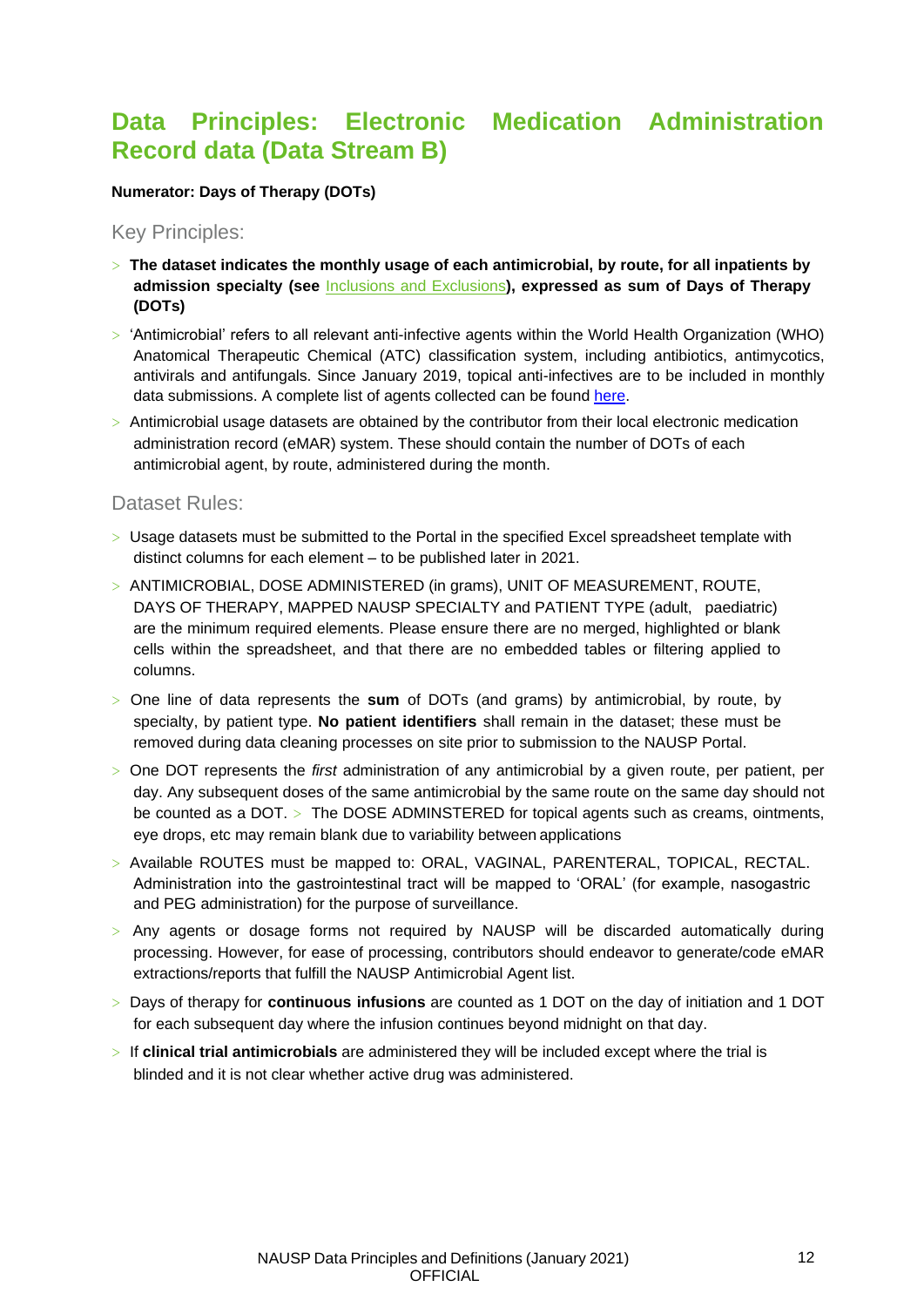### <span id="page-12-0"></span>**Data Principles: Electronic Medication Administration Record data (Data Stream B)**

#### **Numerator: Days of Therapy (DOTs)**

<span id="page-12-1"></span>Key Principles:

- > **The dataset indicates the monthly usage of each antimicrobial, by route, for all inpatients by admission specialty (see** [Inclusions and Exclusions](#page-11-0)**), expressed as sum of Days of Therapy (DOTs)**
- > 'Antimicrobial' refers to all relevant anti-infective agents within the World Health Organization (WHO) Anatomical Therapeutic Chemical (ATC) classification system, including antibiotics, antimycotics, antivirals and antifungals. Since January 2019, topical anti-infectives are to be included in monthly data submissions. A complete list of agents collected can be found [here.](https://www.sahealth.sa.gov.au/wps/wcm/connect/e88ecf80400569ff9395bb4826472d56/NAUSP%2BInfo_Antimicrobial%2BAgents_2021_v8.0.pdf?MOD=AJPERES&amp%3BCACHEID=ROOTWORKSPACE-e88ecf80400569ff9395bb4826472d56-ntB1lNU)
- $>$  Antimicrobial usage datasets are obtained by the contributor from their local electronic medication administration record (eMAR) system. These should contain the number of DOTs of each antimicrobial agent, by route, administered during the month.

#### <span id="page-12-2"></span>Dataset Rules:

- > Usage datasets must be submitted to the Portal in the specified Excel spreadsheet template with distinct columns for each element – to be published later in 2021.
- > ANTIMICROBIAL, DOSE ADMINISTERED (in grams), UNIT OF MEASUREMENT, ROUTE, DAYS OF THERAPY, MAPPED NAUSP SPECIALTY and PATIENT TYPE (adult, paediatric) are the minimum required elements. Please ensure there are no merged, highlighted or blank cells within the spreadsheet, and that there are no embedded tables or filtering applied to columns.
- > One line of data represents the **sum** of DOTs (and grams) by antimicrobial, by route, by specialty, by patient type. **No patient identifiers** shall remain in the dataset; these must be removed during data cleaning processes on site prior to submission to the NAUSP Portal.
- > One DOT represents the *first* administration of any antimicrobial by a given route, per patient, per day. Any subsequent doses of the same antimicrobial by the same route on the same day should not be counted as a DOT. > The DOSE ADMINSTERED for topical agents such as creams, ointments, eye drops, etc may remain blank due to variability between applications
- > Available ROUTES must be mapped to: ORAL, VAGINAL, PARENTERAL, TOPICAL, RECTAL. Administration into the gastrointestinal tract will be mapped to 'ORAL' (for example, nasogastric and PEG administration) for the purpose of surveillance.
- > Any agents or dosage forms not required by NAUSP will be discarded automatically during processing. However, for ease of processing, contributors should endeavor to generate/code eMAR extractions/reports that fulfill the NAUSP Antimicrobial Agent list.
- > Days of therapy for **continuous infusions** are counted as 1 DOT on the day of initiation and 1 DOT for each subsequent day where the infusion continues beyond midnight on that day.
- > If **clinical trial antimicrobials** are administered they will be included except where the trial is blinded and it is not clear whether active drug was administered.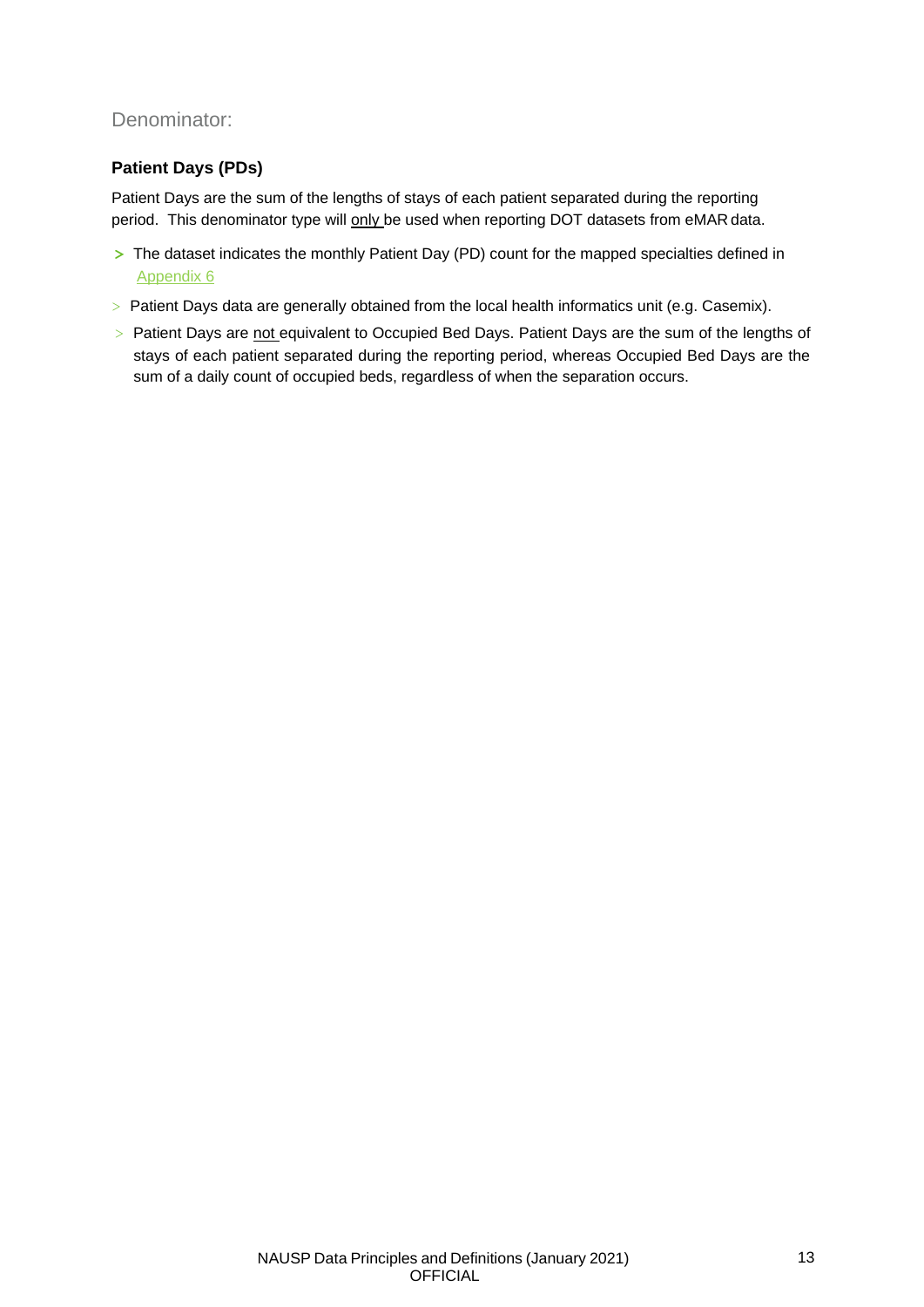### <span id="page-13-0"></span>Denominator:

#### <span id="page-13-1"></span>**Patient Days (PDs)**

Patient Days are the sum of the lengths of stays of each patient separated during the reporting period. This denominator type will only be used when reporting DOT datasets from eMAR data.

- **>** The dataset indicates the monthly Patient Day (PD) count for the mapped specialties defined in [Appendix 6](#page-22-0)
- > Patient Days data are generally obtained from the local health informatics unit (e.g. Casemix).
- > Patient Days are not equivalent to Occupied Bed Days. Patient Days are the sum of the lengths of stays of each patient separated during the reporting period, whereas Occupied Bed Days are the sum of a daily count of occupied beds, regardless of when the separation occurs.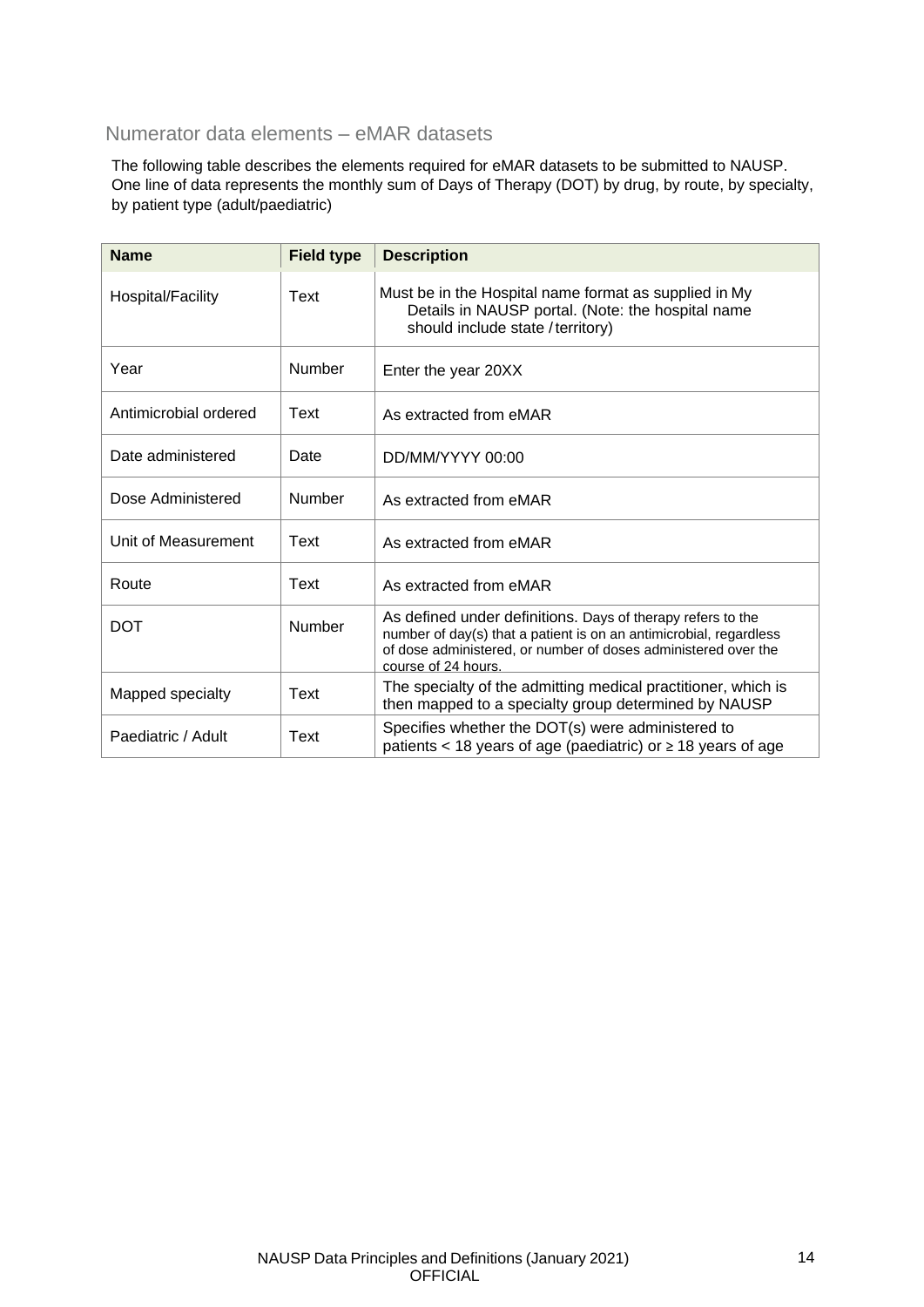### <span id="page-14-0"></span>Numerator data elements – eMAR datasets

The following table describes the elements required for eMAR datasets to be submitted to NAUSP. One line of data represents the monthly sum of Days of Therapy (DOT) by drug, by route, by specialty, by patient type (adult/paediatric)

| <b>Name</b>           | <b>Field type</b> | <b>Description</b>                                                                                                                                                                                                         |
|-----------------------|-------------------|----------------------------------------------------------------------------------------------------------------------------------------------------------------------------------------------------------------------------|
| Hospital/Facility     | Text              | Must be in the Hospital name format as supplied in My<br>Details in NAUSP portal. (Note: the hospital name<br>should include state / territory)                                                                            |
| Year                  | Number            | Enter the year 20XX                                                                                                                                                                                                        |
| Antimicrobial ordered | Text              | As extracted from eMAR                                                                                                                                                                                                     |
| Date administered     | Date              | DD/MM/YYYY 00:00                                                                                                                                                                                                           |
| Dose Administered     | Number            | As extracted from eMAR                                                                                                                                                                                                     |
| Unit of Measurement   | Text              | As extracted from eMAR                                                                                                                                                                                                     |
| Route                 | Text              | As extracted from eMAR                                                                                                                                                                                                     |
| <b>DOT</b>            | Number            | As defined under definitions. Days of therapy refers to the<br>number of day(s) that a patient is on an antimicrobial, regardless<br>of dose administered, or number of doses administered over the<br>course of 24 hours. |
| Mapped specialty      | Text              | The specialty of the admitting medical practitioner, which is<br>then mapped to a specialty group determined by NAUSP                                                                                                      |
| Paediatric / Adult    | Text              | Specifies whether the DOT(s) were administered to<br>patients < 18 years of age (paediatric) or $\geq$ 18 years of age                                                                                                     |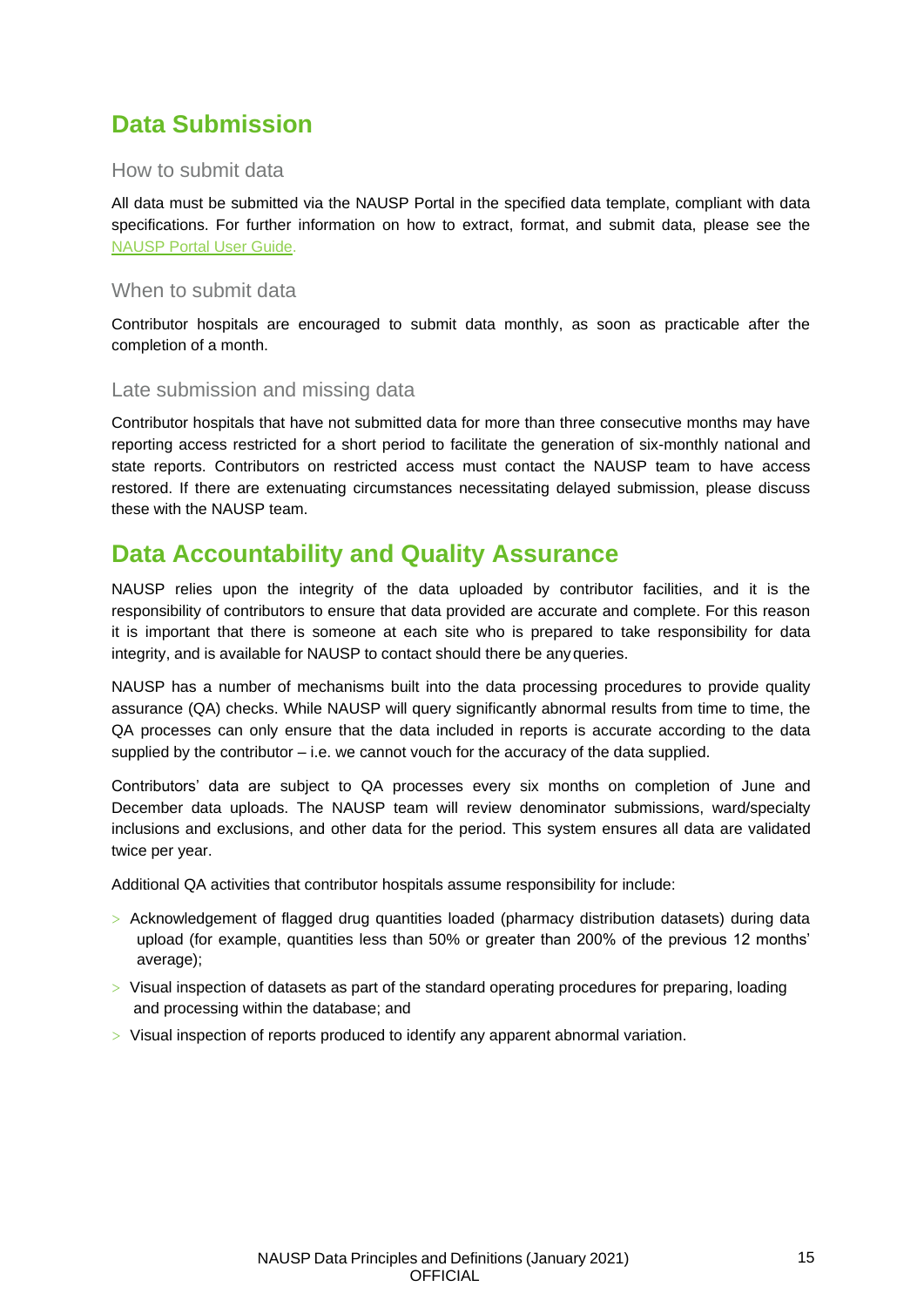# <span id="page-15-0"></span>**Data Submission**

#### <span id="page-15-1"></span>How to submit data

All data must be submitted via the NAUSP Portal in the specified data template, compliant with data specifications. For further information on how to extract, format, and submit data, please see the [NAUSP Portal User Guide.](https://www.sahealth.sa.gov.au/wps/wcm/connect/public%2Bcontent/sa%2Bhealth%2Binternet/resources/nausp%2Bportal%2Buser%2Bguide)

#### <span id="page-15-2"></span>When to submit data

Contributor hospitals are encouraged to submit data monthly, as soon as practicable after the completion of a month.

#### <span id="page-15-3"></span>Late submission and missing data

Contributor hospitals that have not submitted data for more than three consecutive months may have reporting access restricted for a short period to facilitate the generation of six-monthly national and state reports. Contributors on restricted access must contact the NAUSP team to have access restored. If there are extenuating circumstances necessitating delayed submission, please discuss these with the NAUSP team.

### <span id="page-15-4"></span>**Data Accountability and Quality Assurance**

NAUSP relies upon the integrity of the data uploaded by contributor facilities, and it is the responsibility of contributors to ensure that data provided are accurate and complete. For this reason it is important that there is someone at each site who is prepared to take responsibility for data integrity, and is available for NAUSP to contact should there be anyqueries.

NAUSP has a number of mechanisms built into the data processing procedures to provide quality assurance (QA) checks. While NAUSP will query significantly abnormal results from time to time, the QA processes can only ensure that the data included in reports is accurate according to the data supplied by the contributor  $-$  i.e. we cannot vouch for the accuracy of the data supplied.

Contributors' data are subject to QA processes every six months on completion of June and December data uploads. The NAUSP team will review denominator submissions, ward/specialty inclusions and exclusions, and other data for the period. This system ensures all data are validated twice per year.

Additional QA activities that contributor hospitals assume responsibility for include:

- > Acknowledgement of flagged drug quantities loaded (pharmacy distribution datasets) during data upload (for example, quantities less than 50% or greater than 200% of the previous 12 months' average);
- > Visual inspection of datasets as part of the standard operating procedures for preparing, loading and processing within the database; and
- > Visual inspection of reports produced to identify any apparent abnormal variation.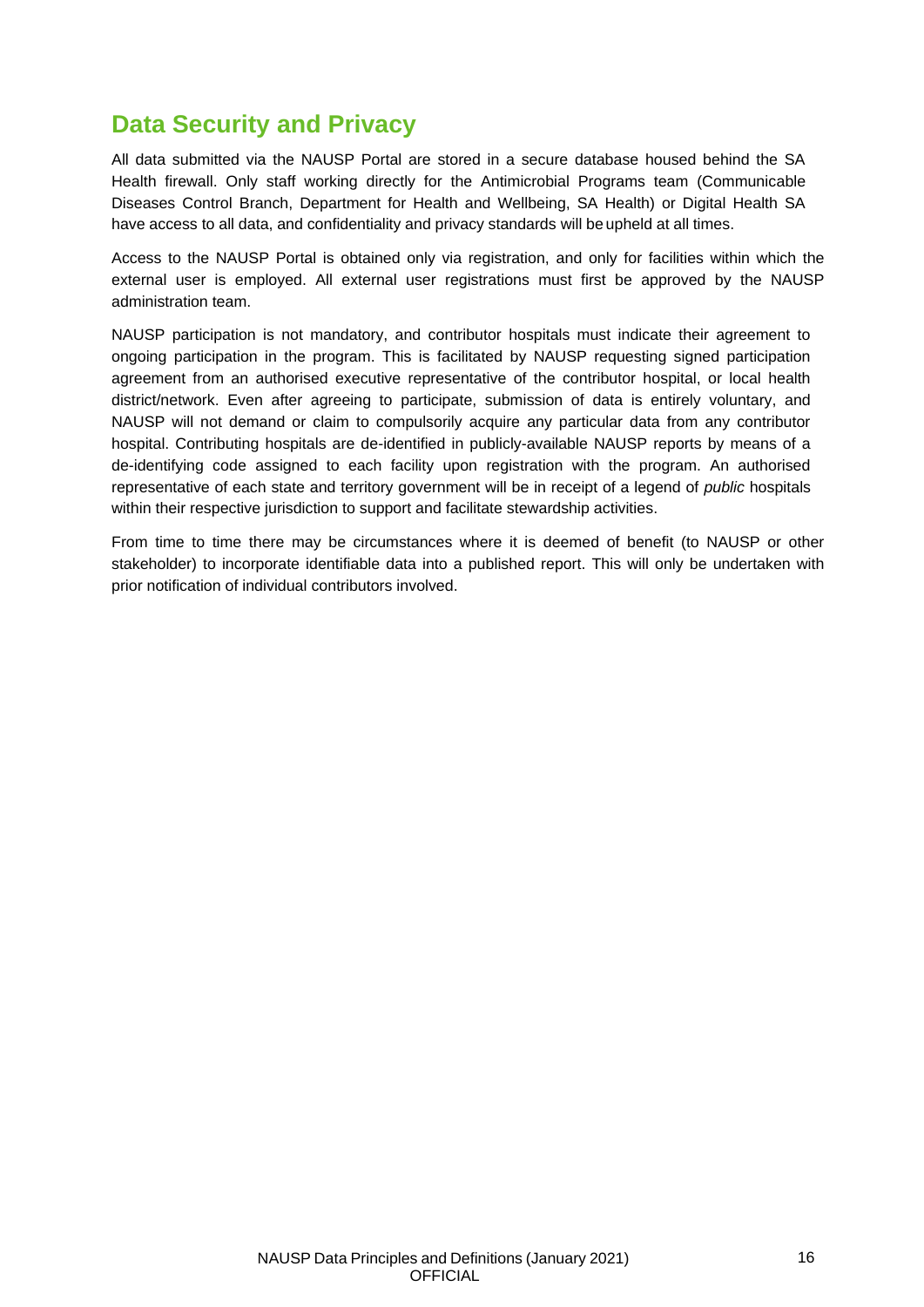### <span id="page-16-0"></span>**Data Security and Privacy**

All data submitted via the NAUSP Portal are stored in a secure database housed behind the SA Health firewall. Only staff working directly for the Antimicrobial Programs team (Communicable Diseases Control Branch, Department for Health and Wellbeing, SA Health) or Digital Health SA have access to all data, and confidentiality and privacy standards will be upheld at all times.

Access to the NAUSP Portal is obtained only via registration, and only for facilities within which the external user is employed. All external user registrations must first be approved by the NAUSP administration team.

NAUSP participation is not mandatory, and contributor hospitals must indicate their agreement to ongoing participation in the program. This is facilitated by NAUSP requesting signed participation agreement from an authorised executive representative of the contributor hospital, or local health district/network. Even after agreeing to participate, submission of data is entirely voluntary, and NAUSP will not demand or claim to compulsorily acquire any particular data from any contributor hospital. Contributing hospitals are de-identified in publicly-available NAUSP reports by means of a de-identifying code assigned to each facility upon registration with the program. An authorised representative of each state and territory government will be in receipt of a legend of *public* hospitals within their respective jurisdiction to support and facilitate stewardship activities.

From time to time there may be circumstances where it is deemed of benefit (to NAUSP or other stakeholder) to incorporate identifiable data into a published report. This will only be undertaken with prior notification of individual contributors involved.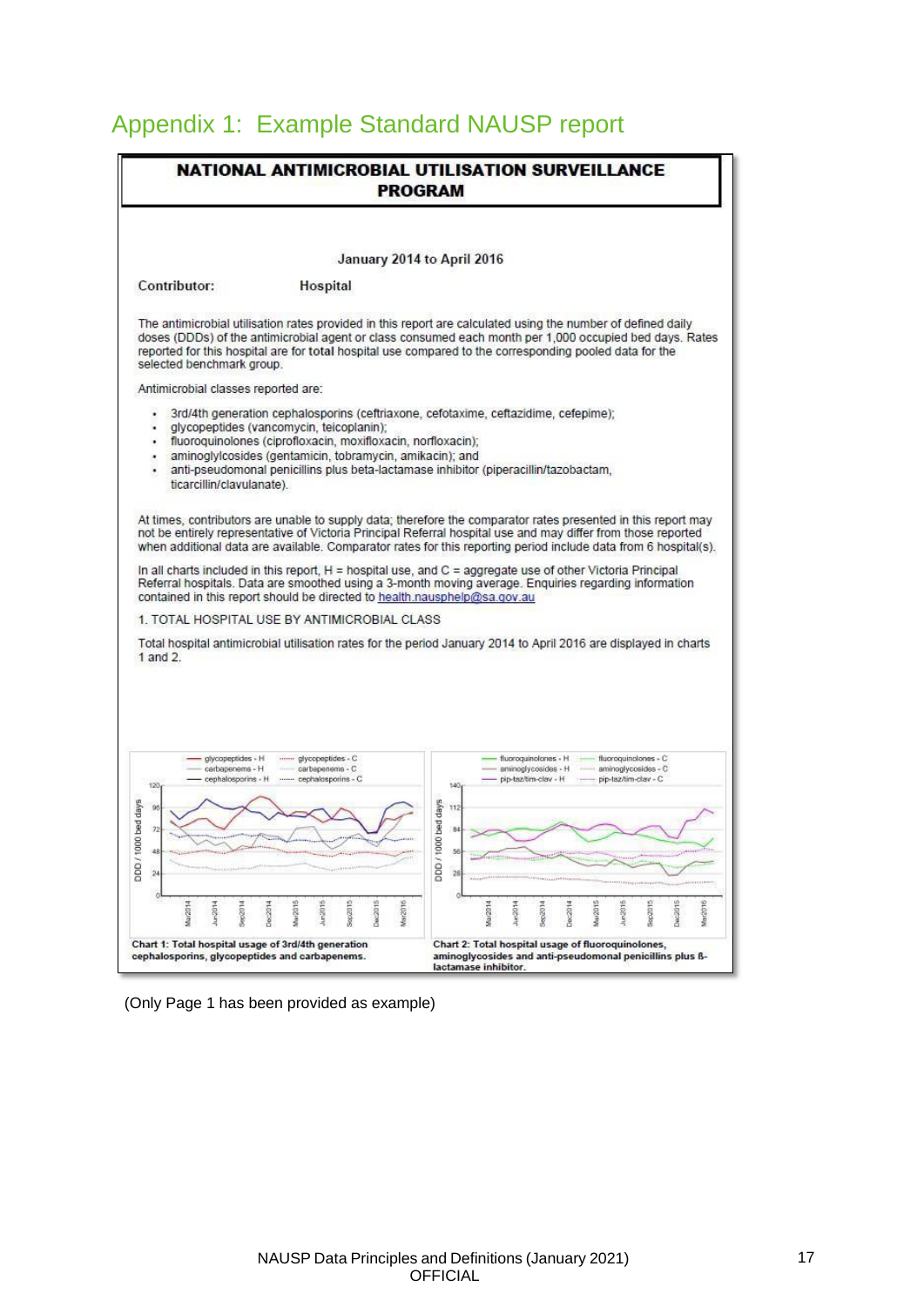# <span id="page-17-0"></span>Appendix 1: Example Standard NAUSP report

|                                                                                                                                                                                                                                                                                                                                                                                                                                                                                           |                                                                         |                    | NATIONAL ANTIMICROBIAL UTILISATION SURVEILLANCE<br><b>PROGRAM</b> |                          |         |                                                                                                                      |         |         |            |         |                                                                                                                 |         |         |
|-------------------------------------------------------------------------------------------------------------------------------------------------------------------------------------------------------------------------------------------------------------------------------------------------------------------------------------------------------------------------------------------------------------------------------------------------------------------------------------------|-------------------------------------------------------------------------|--------------------|-------------------------------------------------------------------|--------------------------|---------|----------------------------------------------------------------------------------------------------------------------|---------|---------|------------|---------|-----------------------------------------------------------------------------------------------------------------|---------|---------|
|                                                                                                                                                                                                                                                                                                                                                                                                                                                                                           |                                                                         |                    | January 2014 to April 2016                                        |                          |         |                                                                                                                      |         |         |            |         |                                                                                                                 |         |         |
| Contributor:                                                                                                                                                                                                                                                                                                                                                                                                                                                                              | Hospital                                                                |                    |                                                                   |                          |         |                                                                                                                      |         |         |            |         |                                                                                                                 |         |         |
| The antimicrobial utilisation rates provided in this report are calculated using the number of defined daily<br>doses (DDDs) of the antimicrobial agent or class consumed each month per 1,000 occupied bed days. Rates<br>reported for this hospital are for total hospital use compared to the corresponding pooled data for the<br>selected benchmark group.                                                                                                                           |                                                                         |                    |                                                                   |                          |         |                                                                                                                      |         |         |            |         |                                                                                                                 |         |         |
| Antimicrobial classes reported are:                                                                                                                                                                                                                                                                                                                                                                                                                                                       |                                                                         |                    |                                                                   |                          |         |                                                                                                                      |         |         |            |         |                                                                                                                 |         |         |
| 3rd/4th generation cephalosporins (ceftriaxone, cefotaxime, ceftazidime, cefepime);                                                                                                                                                                                                                                                                                                                                                                                                       |                                                                         |                    |                                                                   |                          |         |                                                                                                                      |         |         |            |         |                                                                                                                 |         |         |
| glycopeptides (vancomycin, teicoplanin);<br>¥<br>fluoroquinolones (ciprofloxacin, moxifloxacin, norfloxacin);                                                                                                                                                                                                                                                                                                                                                                             |                                                                         |                    |                                                                   |                          |         |                                                                                                                      |         |         |            |         |                                                                                                                 |         |         |
| aminoglylcosides (gentamicin, tobramycin, amikacin); and                                                                                                                                                                                                                                                                                                                                                                                                                                  |                                                                         |                    |                                                                   |                          |         |                                                                                                                      |         |         |            |         |                                                                                                                 |         |         |
| anti-pseudomonal penicillins plus beta-lactamase inhibitor (piperacillin/tazobactam,<br>ticarcillin/clavulanate).                                                                                                                                                                                                                                                                                                                                                                         |                                                                         |                    |                                                                   |                          |         |                                                                                                                      |         |         |            |         |                                                                                                                 |         |         |
|                                                                                                                                                                                                                                                                                                                                                                                                                                                                                           |                                                                         |                    |                                                                   |                          |         |                                                                                                                      |         |         |            |         | when additional data are available. Comparator rates for this reporting period include data from 6 hospital(s). |         |         |
|                                                                                                                                                                                                                                                                                                                                                                                                                                                                                           |                                                                         |                    |                                                                   |                          |         |                                                                                                                      |         |         |            |         |                                                                                                                 |         |         |
| glycopeptides - H<br>carbapenems - H<br>cephalosporins - H<br>120                                                                                                                                                                                                                                                                                                                                                                                                                         | ------ glycopeptides - C<br>carbapenems - C<br>----- cephalosporins - C |                    |                                                                   | 140                      |         | fluoroquinolones - H  fluoroquinolones - C<br>aminoglycosides - H ------ aminoglycosides - C<br>pip-taz/tim-clav - H |         |         | Contractor |         | pip-taz/tim-clav - C                                                                                            |         |         |
| 96                                                                                                                                                                                                                                                                                                                                                                                                                                                                                        |                                                                         |                    |                                                                   | 112                      |         |                                                                                                                      |         |         |            |         |                                                                                                                 |         |         |
| In all charts included in this report, $H =$ hospital use, and $C =$ aggregate use of other Victoria Principal<br>Referral hospitals. Data are smoothed using a 3-month moving average. Enquiries regarding information<br>contained in this report should be directed to health nausphelp@sa.gov.au<br>1. TOTAL HOSPITAL USE BY ANTIMICROBIAL CLASS<br>Total hospital antimicrobial utilisation rates for the period January 2014 to April 2016 are displayed in charts<br>$1$ and $2$ . |                                                                         |                    |                                                                   | bed days<br>$\mathbf{R}$ |         |                                                                                                                      |         |         |            |         |                                                                                                                 |         |         |
| 48<br>$^{24}$                                                                                                                                                                                                                                                                                                                                                                                                                                                                             |                                                                         |                    |                                                                   | DDD / 100<br>ы<br>28     |         |                                                                                                                      |         |         |            |         |                                                                                                                 |         |         |
| Mar2014<br>Jun2014<br>Sepag                                                                                                                                                                                                                                                                                                                                                                                                                                                               | Mar2015<br>Dec2014<br>Jun2015                                           | Sep2015<br>Dec2015 | Mar2016                                                           |                          | Mar2014 | Aur2014                                                                                                              | Sep2014 | Dec2014 | Mar2015    | Jun2015 | Sep2D                                                                                                           | Dec2015 | Mar2016 |

(Only Page 1 has been provided as example)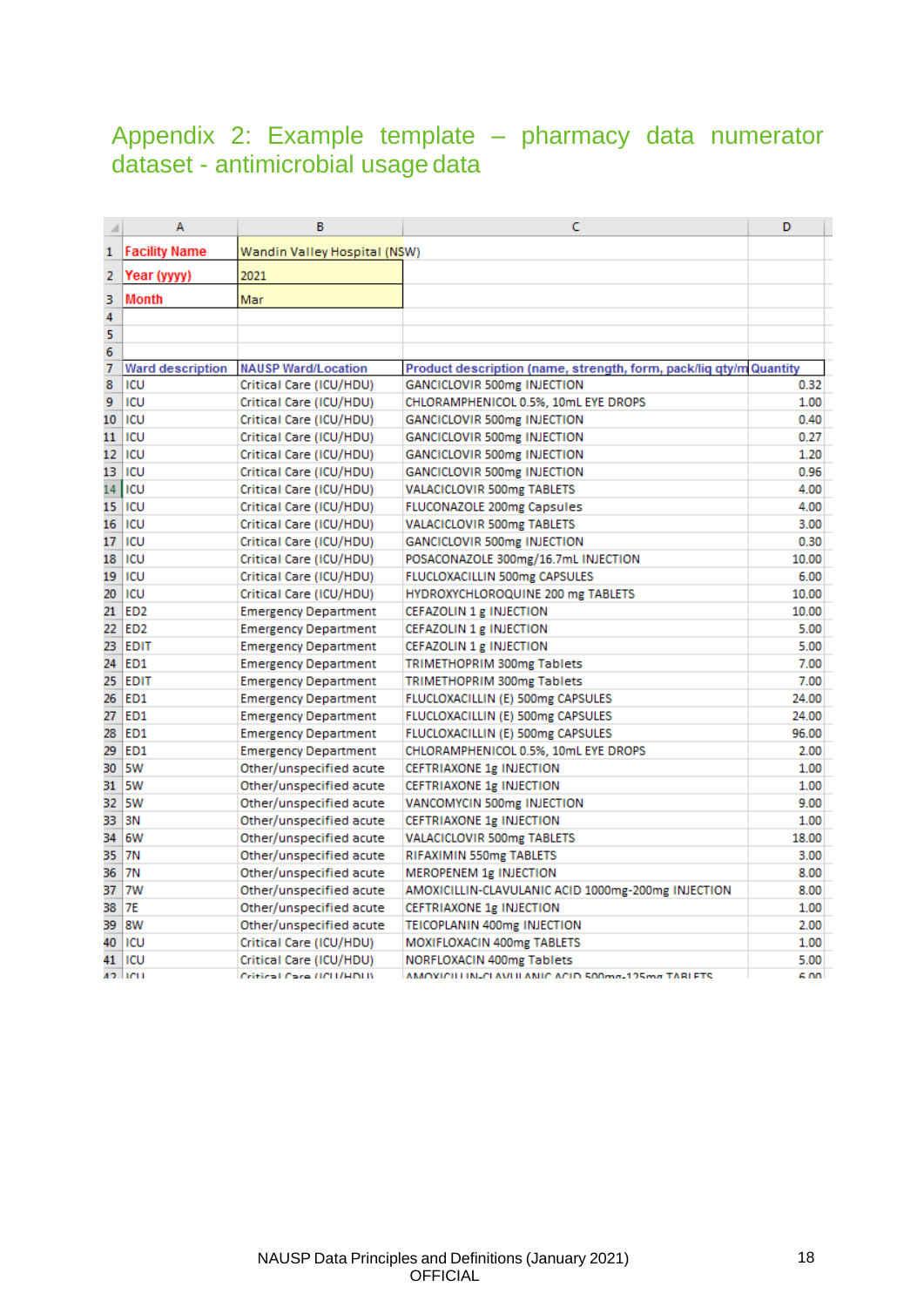### <span id="page-18-0"></span>Appendix 2: Example template – pharmacy data numerator dataset - antimicrobial usage data

| ⊿              | A                       | B                            | C                                                                  | D     |
|----------------|-------------------------|------------------------------|--------------------------------------------------------------------|-------|
| 1              | <b>Facility Name</b>    | Wandin Valley Hospital (NSW) |                                                                    |       |
| 2              | Year (yyyy)             | 2021                         |                                                                    |       |
| 3              | <b>Month</b>            | Mar                          |                                                                    |       |
| 4              |                         |                              |                                                                    |       |
| 5              |                         |                              |                                                                    |       |
| 6              |                         |                              |                                                                    |       |
| $\overline{7}$ | <b>Ward description</b> | <b>NAUSP Ward/Location</b>   | Product description (name, strength, form, pack/liq qty/m Quantity |       |
| 8              | ICU                     | Critical Care (ICU/HDU)      | GANCICLOVIR 500mg INJECTION                                        | 0.32  |
| 9              | ICU                     | Critical Care (ICU/HDU)      | CHLORAMPHENICOL 0.5%, 10mL EYE DROPS                               | 1.00  |
| 10             | <b>ICU</b>              | Critical Care (ICU/HDU)      | GANCICLOVIR 500mg INJECTION                                        | 0.40  |
| 11             | ICU                     | Critical Care (ICU/HDU)      | GANCICLOVIR 500mg INJECTION                                        | 0.27  |
| 12             | ICU                     | Critical Care (ICU/HDU)      | GANCICLOVIR 500mg INJECTION                                        | 1.20  |
| 13             | <b>ICU</b>              | Critical Care (ICU/HDU)      | GANCICLOVIR 500mg INJECTION                                        | 0.96  |
| 14             | ICU                     | Critical Care (ICU/HDU)      | <b>VALACICLOVIR 500mg TABLETS</b>                                  | 4.00  |
| 15             | ICU                     | Critical Care (ICU/HDU)      | FLUCONAZOLE 200mg Capsules                                         | 4.00  |
| 16             | ICU                     | Critical Care (ICU/HDU)      | <b>VALACICLOVIR 500mg TABLETS</b>                                  | 3.00  |
| 17             | ICU                     | Critical Care (ICU/HDU)      | GANCICLOVIR 500mg INJECTION                                        | 0.30  |
| 18             | ICU                     | Critical Care (ICU/HDU)      | POSACONAZOLE 300mg/16.7mL INJECTION                                | 10.00 |
| 19             | ICU                     | Critical Care (ICU/HDU)      | FLUCLOXACILLIN 500mg CAPSULES                                      | 6.00  |
| 20             | ICU                     | Critical Care (ICU/HDU)      | HYDROXYCHLOROQUINE 200 mg TABLETS                                  | 10.00 |
| 21             | ED <sub>2</sub>         | <b>Emergency Department</b>  | CEFAZOLIN 1 g INJECTION                                            | 10.00 |
|                | 22 ED2                  | <b>Emergency Department</b>  | CEFAZOLIN 1 g INJECTION                                            | 5.00  |
|                | 23 EDIT                 | <b>Emergency Department</b>  | CEFAZOLIN 1 g INJECTION                                            | 5.00  |
|                | 24 ED1                  | <b>Emergency Department</b>  | <b>TRIMETHOPRIM 300mg Tablets</b>                                  | 7.00  |
| 25             | <b>EDIT</b>             | <b>Emergency Department</b>  | <b>TRIMETHOPRIM 300mg Tablets</b>                                  | 7.00  |
|                | 26 ED1                  | <b>Emergency Department</b>  | FLUCLOXACILLIN (E) 500mg CAPSULES                                  | 24.00 |
|                | 27 ED1                  | <b>Emergency Department</b>  | FLUCLOXACILLIN (E) 500mg CAPSULES                                  | 24.00 |
| 28             | <b>ED1</b>              | <b>Emergency Department</b>  | FLUCLOXACILLIN (E) 500mg CAPSULES                                  | 96.00 |
| 29             | <b>ED1</b>              | <b>Emergency Department</b>  | CHLORAMPHENICOL 0.5%, 10mL EYE DROPS                               | 2.00  |
| 30             | <b>SW</b>               | Other/unspecified acute      | CEFTRIAXONE 1g INJECTION                                           | 1.00  |
| 31             | 5W                      | Other/unspecified acute      | <b>CEFTRIAXONE 1g INJECTION</b>                                    | 1.00  |
| 32.            | 5W                      | Other/unspecified acute      | VANCOMYCIN 500mg INJECTION                                         | 9.00  |
| 33             | 3N                      | Other/unspecified acute      | CEFTRIAXONE 1g INJECTION                                           | 1.00  |
| 34             | 6W                      | Other/unspecified acute      | VALACICLOVIR 500mg TABLETS                                         | 18.00 |
| 35             | <b>7N</b>               | Other/unspecified acute      | RIFAXIMIN 550mg TABLETS                                            | 3.00  |
| 36             | <b>7N</b>               | Other/unspecified acute      | MEROPENEM 1g INJECTION                                             | 8.00  |
| 37             | 7W                      | Other/unspecified acute      | AMOXICILLIN-CLAVULANIC ACID 1000mg-200mg INJECTION                 | 8.00  |
| 38             | 7E                      | Other/unspecified acute      | CEFTRIAXONE 1g INJECTION                                           | 1.00  |
| 39             | 18W                     | Other/unspecified acute      | TEICOPLANIN 400mg INJECTION                                        | 2.00  |
| 40             | <b>ICU</b>              | Critical Care (ICU/HDU)      | MOXIFLOXACIN 400mg TABLETS                                         | 1.00  |
| 41             | ICU                     | Critical Care (ICU/HDU)      | NORFLOXACIN 400mg Tablets                                          | 5.00  |
|                | 42 Juni 1               | Critical Care (ICU/HDU)      | AMOVICILLINUCI AVI II ANIC ACID 500mm-125mm TARLETS                | 6.00  |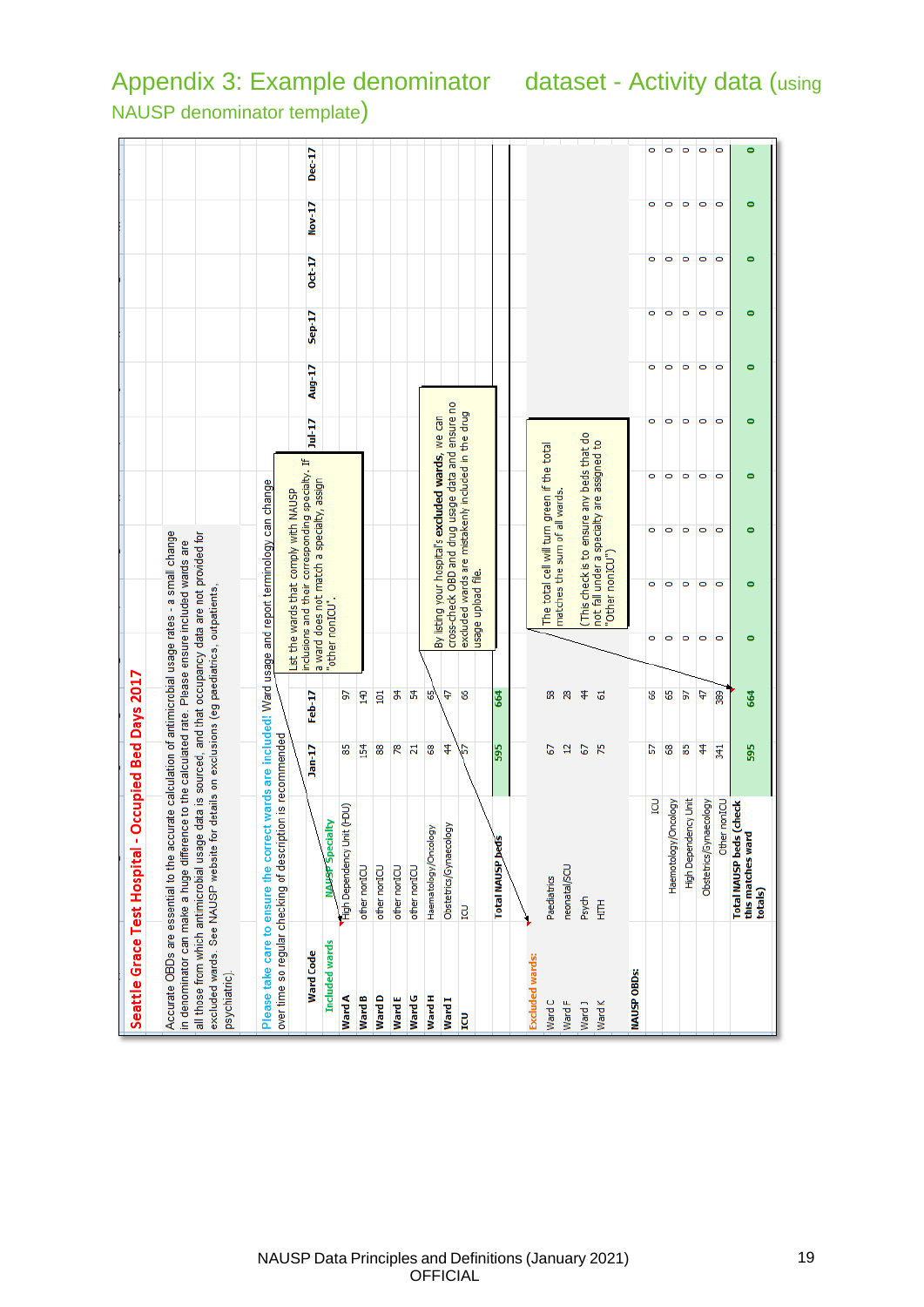|                        | Seattle Grace Test Hospital - Occupied Bed Days 2017                                                                                                                                                                                                                                                                                                                                                               |                          |               |         |                                                                                          |                                       |  |
|------------------------|--------------------------------------------------------------------------------------------------------------------------------------------------------------------------------------------------------------------------------------------------------------------------------------------------------------------------------------------------------------------------------------------------------------------|--------------------------|---------------|---------|------------------------------------------------------------------------------------------|---------------------------------------|--|
| psychiatric).          | Accurate OBDs are essential to the accurate calculation of antimicrobial usage rates - a small change<br>all those from which antimicrobial usage data is sourced, and that occupancy data are not provided for<br>in denominator can make a huge difference to the calculated rate. Please ensure included wards are<br>excluded wards. See NAUSP website for details on exclusions (eg paediatrics, outpatients, |                          |               |         |                                                                                          |                                       |  |
|                        | Please take care to ensure the correct wards are included! Ward usage and report terminology can change                                                                                                                                                                                                                                                                                                            |                          |               |         |                                                                                          |                                       |  |
|                        | over time so regular checking of description is recommended                                                                                                                                                                                                                                                                                                                                                        |                          |               |         |                                                                                          |                                       |  |
|                        |                                                                                                                                                                                                                                                                                                                                                                                                                    |                          |               |         | List the wards that comply with NAUSP                                                    |                                       |  |
| <b>Ward Code</b>       |                                                                                                                                                                                                                                                                                                                                                                                                                    | $Jan-17$                 | Feb-17        |         | inclusions and their corresponding specialt<br>a ward does not match a specialty, assign |                                       |  |
| <b>Included wards</b>  | <b>NAUSP</b> Specialty                                                                                                                                                                                                                                                                                                                                                                                             |                          |               |         | "other nonICU".                                                                          |                                       |  |
| Ward A                 | High Dependency Unit (HDU)                                                                                                                                                                                                                                                                                                                                                                                         | 85                       | 5             |         |                                                                                          |                                       |  |
| Ward B                 | other nonICU                                                                                                                                                                                                                                                                                                                                                                                                       | 154                      | 140           |         |                                                                                          |                                       |  |
| Ward D                 | other nonICU                                                                                                                                                                                                                                                                                                                                                                                                       | 88                       | $\frac{1}{2}$ |         |                                                                                          |                                       |  |
| WardE                  | other nonICU                                                                                                                                                                                                                                                                                                                                                                                                       | æ                        | \$            |         |                                                                                          |                                       |  |
| Ward G                 | other nonICU                                                                                                                                                                                                                                                                                                                                                                                                       | Ν                        | £,            |         |                                                                                          |                                       |  |
| Ward H                 | Haematology/Oncology                                                                                                                                                                                                                                                                                                                                                                                               | 8                        | ಳ             |         | By listing your hospital's excluded w                                                    |                                       |  |
| <b>Ward I</b>          | Obstetrics/Gynaecology                                                                                                                                                                                                                                                                                                                                                                                             | 4                        | ¢,            |         | cross-check OBD and drug usage dat                                                       |                                       |  |
| g                      | <b>POI</b>                                                                                                                                                                                                                                                                                                                                                                                                         | Б                        | 8             |         | excluded wards are mistakenly includ                                                     |                                       |  |
|                        |                                                                                                                                                                                                                                                                                                                                                                                                                    |                          |               |         | usage upload file.                                                                       |                                       |  |
|                        | <b>Total NAUSP beds</b>                                                                                                                                                                                                                                                                                                                                                                                            | 595                      | 664           |         |                                                                                          |                                       |  |
|                        |                                                                                                                                                                                                                                                                                                                                                                                                                    |                          |               |         |                                                                                          |                                       |  |
| <b>Excluded wards:</b> |                                                                                                                                                                                                                                                                                                                                                                                                                    |                          |               |         |                                                                                          |                                       |  |
| Ward C                 | Paediatrics                                                                                                                                                                                                                                                                                                                                                                                                        | 2                        | 38            |         |                                                                                          | The total cell will turn green if the |  |
| WardF                  | neonatal/SCU                                                                                                                                                                                                                                                                                                                                                                                                       | $\overline{a}$           | 28            |         |                                                                                          | matches the sum of all wards.         |  |
| Ward J                 | Psych                                                                                                                                                                                                                                                                                                                                                                                                              | $\overline{6}$           | $\frac{4}{3}$ |         |                                                                                          | (This check is to ensure any beo      |  |
| <b>Ward K</b>          | Ě                                                                                                                                                                                                                                                                                                                                                                                                                  | $\overline{\mathcal{E}}$ | 5             |         | "Other nonICU")                                                                          | not fall under a specialty are assi   |  |
| <b>NAUSP OBDS:</b>     |                                                                                                                                                                                                                                                                                                                                                                                                                    |                          |               |         |                                                                                          |                                       |  |
|                        | <b>POI</b>                                                                                                                                                                                                                                                                                                                                                                                                         | 5                        | \$            | Ō       | ۰                                                                                        | Ō                                     |  |
|                        | Haemotology/Oncology                                                                                                                                                                                                                                                                                                                                                                                               | 8                        | G5            | o       | ۰                                                                                        | Ō                                     |  |
|                        | High Dependency Unit                                                                                                                                                                                                                                                                                                                                                                                               | 58                       | 5             | o       | ۰                                                                                        | $\bullet$                             |  |
|                        | Obstetrics/Gynaecology                                                                                                                                                                                                                                                                                                                                                                                             | 4                        | 47            | o       | ۰                                                                                        | Ō                                     |  |
|                        | Other nonICU                                                                                                                                                                                                                                                                                                                                                                                                       | 341                      | 389           | $\circ$ | $\bullet$                                                                                | $\circ$                               |  |

cross-check OBD and drug usage data and ensure no excluded wards are mistakenly included in the drug<br>usage upload file.

listing your hospital's excluded wards, we can

# <span id="page-19-0"></span>Appendix 3: Example denominator dataset - Activity data (using NAUSP denominator template)

 $Dec-17$ 

Þ Nov-

 $Oct-17$ 

 $Step-17$ 

Aug-17

 $Jul-17$ 

List the wards that comply with NAUSP<br>inclusions and their corresponding specialty. If<br>a ward does not match a specialty, assign

 $\bullet$  $\circ$   $\circ$ 

 $\begin{array}{c|c|c|c|c|c|c|c|c} \hline \multicolumn{3}{c|}{\circ} & \multicolumn{3}{c|}{\circ} & \multicolumn{3}{c|}{\circ} \end{array}$ 

 $\begin{array}{c|c|c|c|c|c|c|c|c} \hline \multicolumn{3}{c|}{\circ} & \multicolumn{3}{c|}{\circ} & \multicolumn{3}{c|}{\circ} \\ \hline \multicolumn{3}{c|}{\circ} & \multicolumn{3}{c|}{\circ} & \multicolumn{3}{c|}{\circ} & \multicolumn{3}{c|}{\circ} \\ \multicolumn{3}{c|}{\circ} & \multicolumn{3}{c|}{\circ} & \multicolumn{3}{c|}{\circ} & \multicolumn{3}{c|}{\circ} \\ \multicolumn{3}{c|}{\circ} & \multicolumn{3}{c|}{\circ} & \multicolumn{3}{c|$ 

 $\circ \circ \circ \circ \circ$ 

 $\circ$   $\circ$   $\circ$ 

 $\circ$   $\circ$   $\circ$   $\circ$ 

 $\bullet$ 

ö

 $\circ$ 

(This check is to ensure any beds that do<br>not fall under a specialty are assigned to<br>"Other nonICU")

The total cell will turn green if the total

 $\bullet$ 

 $\bullet$ 

 $\bullet$ 

 $\bullet$ 

 $\bullet$ 

 $\bullet$ 

 $\bullet$ 

 $\bullet$ 

 $\bullet$ 

 $\bullet$ 

 $\bullet$ 

664

595

Total MAUSP beds (check<br>this matches ward<br>totals)

 $\overline{\phantom{a}}$ 

NAUSP Data Principles and Definitions (January 2021) 19 **OFFICIAL**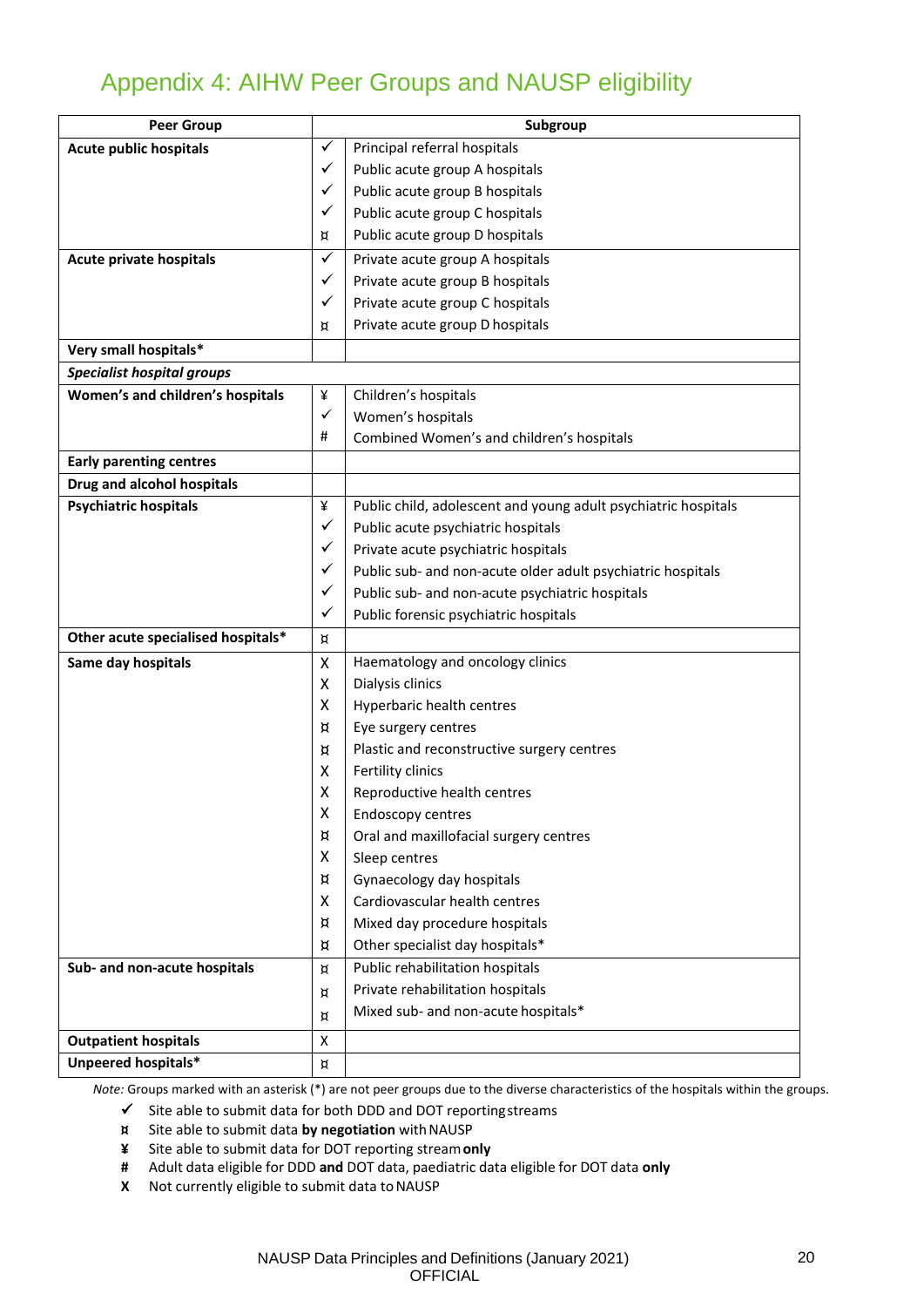# Appendix 4: AIHW Peer Groups and NAUSP eligibility

<span id="page-20-0"></span>

| <b>Peer Group</b>                  | Subgroup       |                                                                |
|------------------------------------|----------------|----------------------------------------------------------------|
| <b>Acute public hospitals</b>      | ✓              | Principal referral hospitals                                   |
|                                    | ✓              | Public acute group A hospitals                                 |
|                                    | ✓              | Public acute group B hospitals                                 |
|                                    | ✓              | Public acute group C hospitals                                 |
|                                    | ¤              | Public acute group D hospitals                                 |
| Acute private hospitals            | ✓              | Private acute group A hospitals                                |
|                                    | ✓              | Private acute group B hospitals                                |
|                                    | ✓              | Private acute group C hospitals                                |
|                                    | ¤              | Private acute group D hospitals                                |
| Very small hospitals*              |                |                                                                |
| <b>Specialist hospital groups</b>  |                |                                                                |
| Women's and children's hospitals   | ¥              | Children's hospitals                                           |
|                                    | ✓              | Women's hospitals                                              |
|                                    | #              | Combined Women's and children's hospitals                      |
| <b>Early parenting centres</b>     |                |                                                                |
| Drug and alcohol hospitals         |                |                                                                |
| <b>Psychiatric hospitals</b>       | ¥              | Public child, adolescent and young adult psychiatric hospitals |
|                                    | ✓              | Public acute psychiatric hospitals                             |
|                                    | ✓              | Private acute psychiatric hospitals                            |
|                                    | ✓              | Public sub- and non-acute older adult psychiatric hospitals    |
|                                    | ✓              | Public sub- and non-acute psychiatric hospitals                |
|                                    | ✓              | Public forensic psychiatric hospitals                          |
| Other acute specialised hospitals* | ¤              |                                                                |
| Same day hospitals                 | X              | Haematology and oncology clinics                               |
|                                    | X              | Dialysis clinics                                               |
|                                    | X              | Hyperbaric health centres                                      |
|                                    | ¤              | Eye surgery centres                                            |
|                                    | ¤              | Plastic and reconstructive surgery centres                     |
|                                    | X              | Fertility clinics                                              |
|                                    | X              | Reproductive health centres                                    |
|                                    | X              | <b>Endoscopy centres</b>                                       |
|                                    | ¤              | Oral and maxillofacial surgery centres                         |
|                                    | X              | Sleep centres                                                  |
|                                    | ¤              | Gynaecology day hospitals                                      |
|                                    | X              | Cardiovascular health centres                                  |
|                                    | ¤              | Mixed day procedure hospitals                                  |
|                                    | ¤              | Other specialist day hospitals*                                |
| Sub- and non-acute hospitals       | ¤              | Public rehabilitation hospitals                                |
|                                    | ¤              | Private rehabilitation hospitals                               |
|                                    | ¤              | Mixed sub- and non-acute hospitals*                            |
| <b>Outpatient hospitals</b>        | X              |                                                                |
| Unpeered hospitals*                | $\,$ $\,$ $\,$ |                                                                |

*Note:* Groups marked with an asterisk (\*) are not peer groups due to the diverse characteristics of the hospitals within the groups.

✓ Site able to submit data for both DDD and DOT reportingstreams

**¤** Site able to submit data **by negotiation** withNAUSP

- **¥** Site able to submit data for DOT reporting stream**only**
- **#** Adult data eligible for DDD **and** DOT data, paediatric data eligible for DOT data **only**
- **X** Not currently eligible to submit data to NAUSP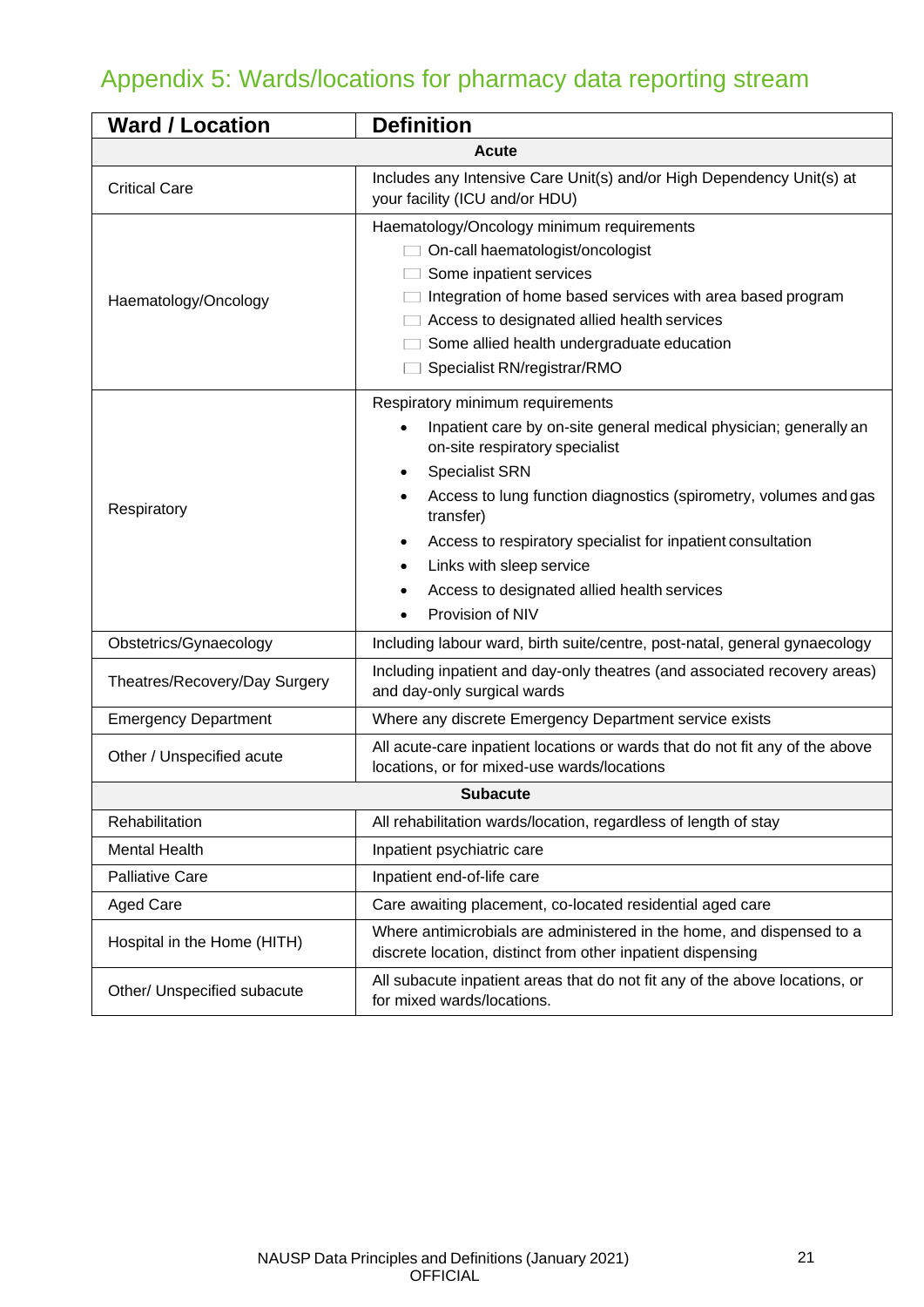# <span id="page-21-0"></span>Appendix 5: Wards/locations for pharmacy data reporting stream

| <b>Ward / Location</b>        | <b>Definition</b>                                                                                                                                                                                                                                                                                                                                                                                                            |  |  |
|-------------------------------|------------------------------------------------------------------------------------------------------------------------------------------------------------------------------------------------------------------------------------------------------------------------------------------------------------------------------------------------------------------------------------------------------------------------------|--|--|
| <b>Acute</b>                  |                                                                                                                                                                                                                                                                                                                                                                                                                              |  |  |
| <b>Critical Care</b>          | Includes any Intensive Care Unit(s) and/or High Dependency Unit(s) at<br>your facility (ICU and/or HDU)                                                                                                                                                                                                                                                                                                                      |  |  |
| Haematology/Oncology          | Haematology/Oncology minimum requirements<br>On-call haematologist/oncologist<br>Some inpatient services<br>Integration of home based services with area based program<br>Access to designated allied health services<br>Some allied health undergraduate education<br>Specialist RN/registrar/RMO                                                                                                                           |  |  |
| Respiratory                   | Respiratory minimum requirements<br>Inpatient care by on-site general medical physician; generally an<br>on-site respiratory specialist<br><b>Specialist SRN</b><br>Access to lung function diagnostics (spirometry, volumes and gas<br>transfer)<br>Access to respiratory specialist for inpatient consultation<br>$\bullet$<br>Links with sleep service<br>Access to designated allied health services<br>Provision of NIV |  |  |
| Obstetrics/Gynaecology        | Including labour ward, birth suite/centre, post-natal, general gynaecology                                                                                                                                                                                                                                                                                                                                                   |  |  |
| Theatres/Recovery/Day Surgery | Including inpatient and day-only theatres (and associated recovery areas)<br>and day-only surgical wards                                                                                                                                                                                                                                                                                                                     |  |  |
| <b>Emergency Department</b>   | Where any discrete Emergency Department service exists                                                                                                                                                                                                                                                                                                                                                                       |  |  |
| Other / Unspecified acute     | All acute-care inpatient locations or wards that do not fit any of the above<br>locations, or for mixed-use wards/locations                                                                                                                                                                                                                                                                                                  |  |  |
| <b>Subacute</b>               |                                                                                                                                                                                                                                                                                                                                                                                                                              |  |  |
| Rehabilitation                | All rehabilitation wards/location, regardless of length of stay                                                                                                                                                                                                                                                                                                                                                              |  |  |
| <b>Mental Health</b>          | Inpatient psychiatric care                                                                                                                                                                                                                                                                                                                                                                                                   |  |  |
| <b>Palliative Care</b>        | Inpatient end-of-life care                                                                                                                                                                                                                                                                                                                                                                                                   |  |  |
| <b>Aged Care</b>              | Care awaiting placement, co-located residential aged care                                                                                                                                                                                                                                                                                                                                                                    |  |  |
| Hospital in the Home (HITH)   | Where antimicrobials are administered in the home, and dispensed to a<br>discrete location, distinct from other inpatient dispensing                                                                                                                                                                                                                                                                                         |  |  |
| Other/ Unspecified subacute   | All subacute inpatient areas that do not fit any of the above locations, or<br>for mixed wards/locations.                                                                                                                                                                                                                                                                                                                    |  |  |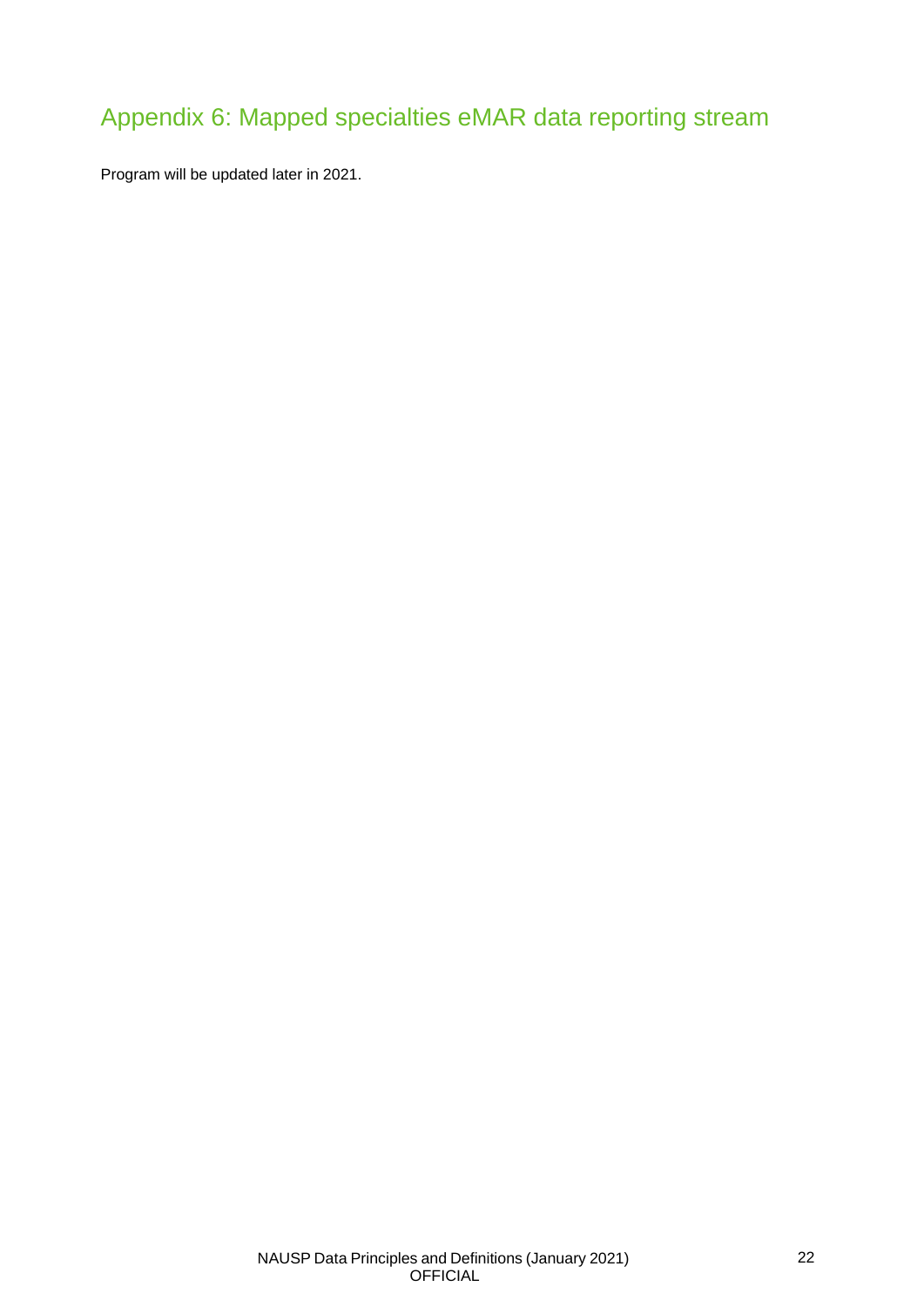# <span id="page-22-0"></span>Appendix 6: Mapped specialties eMAR data reporting stream

Program will be updated later in 2021.